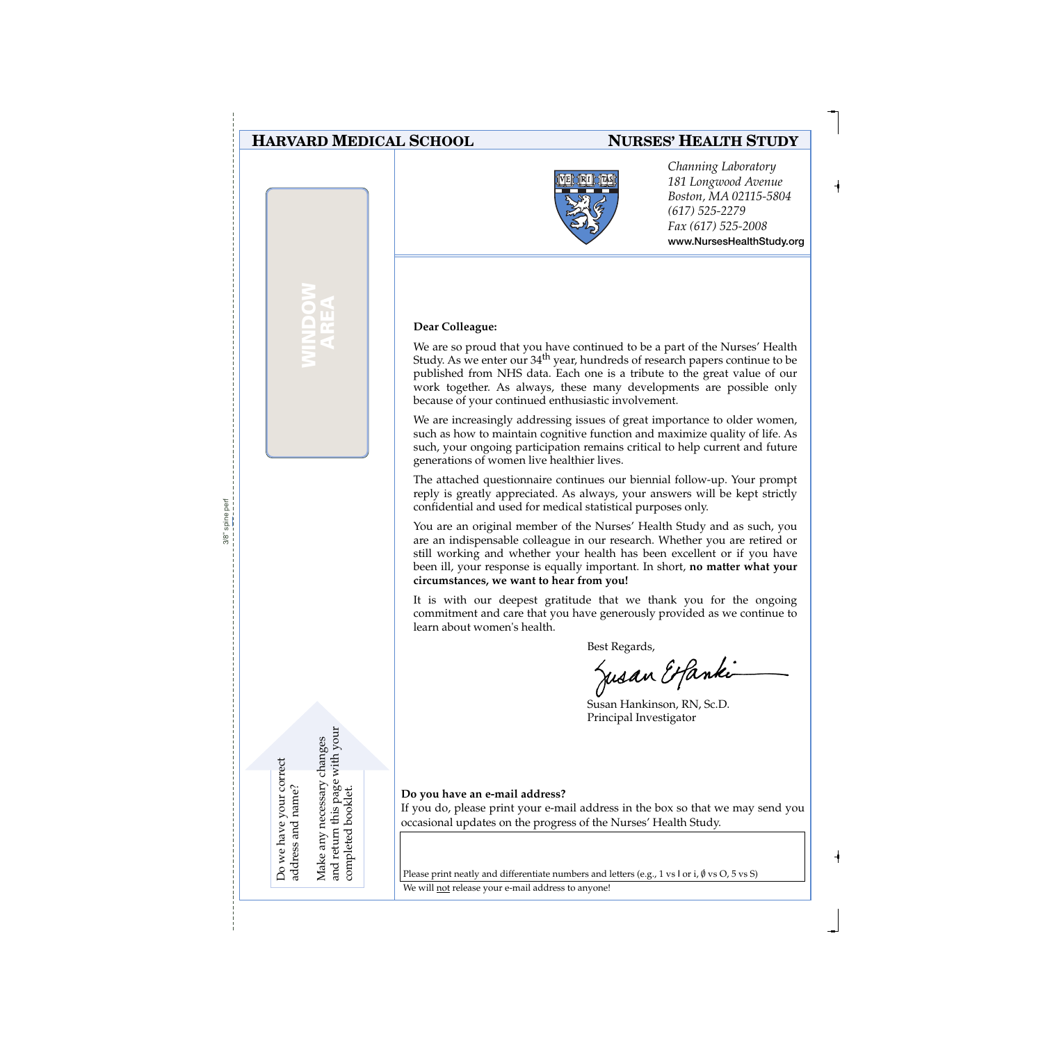## **HARVARD MEDICAL SCHOOL**

**WINDOW AREA**

### **NURSES' HEALTH STUDY**



*Channing Laboratory 181 Longwood Avenue Boston, MA 02115-5804 (617) 525-2279 Fax (617) 525-2008* **www.NursesHealthStudy.org** 

#### **Dear Colleague:**

We are so proud that you have continued to be a part of the Nurses' Health Study. As we enter our 34<sup>th</sup> year, hundreds of research papers continue to be published from NHS data. Each one is a tribute to the great value of our work together. As always, these many developments are possible only because of your continued enthusiastic involvement.

We are increasingly addressing issues of great importance to older women, such as how to maintain cognitive function and maximize quality of life. As such, your ongoing participation remains critical to help current and future generations of women live healthier lives.

The attached questionnaire continues our biennial follow-up. Your prompt reply is greatly appreciated. As always, your answers will be kept strictly confidential and used for medical statistical purposes only.

You are an original member of the Nurses' Health Study and as such, you are an indispensable colleague in our research. Whether you are retired or still working and whether your health has been excellent or if you have been ill, your response is equally important. In short, **no matter what your circumstances, we want to hear from you!**

It is with our deepest gratitude that we thank you for the ongoing commitment and care that you have generously provided as we continue to learn about women's health.

Best Regards,<br>Jusan Etfanki

Susan Hankinson, RN, Sc.D. Principal Investigator

**Do you have an e-mail address?**

If you do, please print your e-mail address in the box so that we may send you occasional updates on the progress of the Nurses' Health Study.

Please print neatly and differentiate numbers and letters (e.g., 1 vs l or i,  $\emptyset$  vs O, 5 vs S)

We will not release your e-mail address to anyone!

Do we have your correct Do we have your correct address and name? address and name? Make any necessary changes and return this page with your

and return this page with your Make any necessary changes

completed booklet.

completed booklet.

3/8" spine perfspine per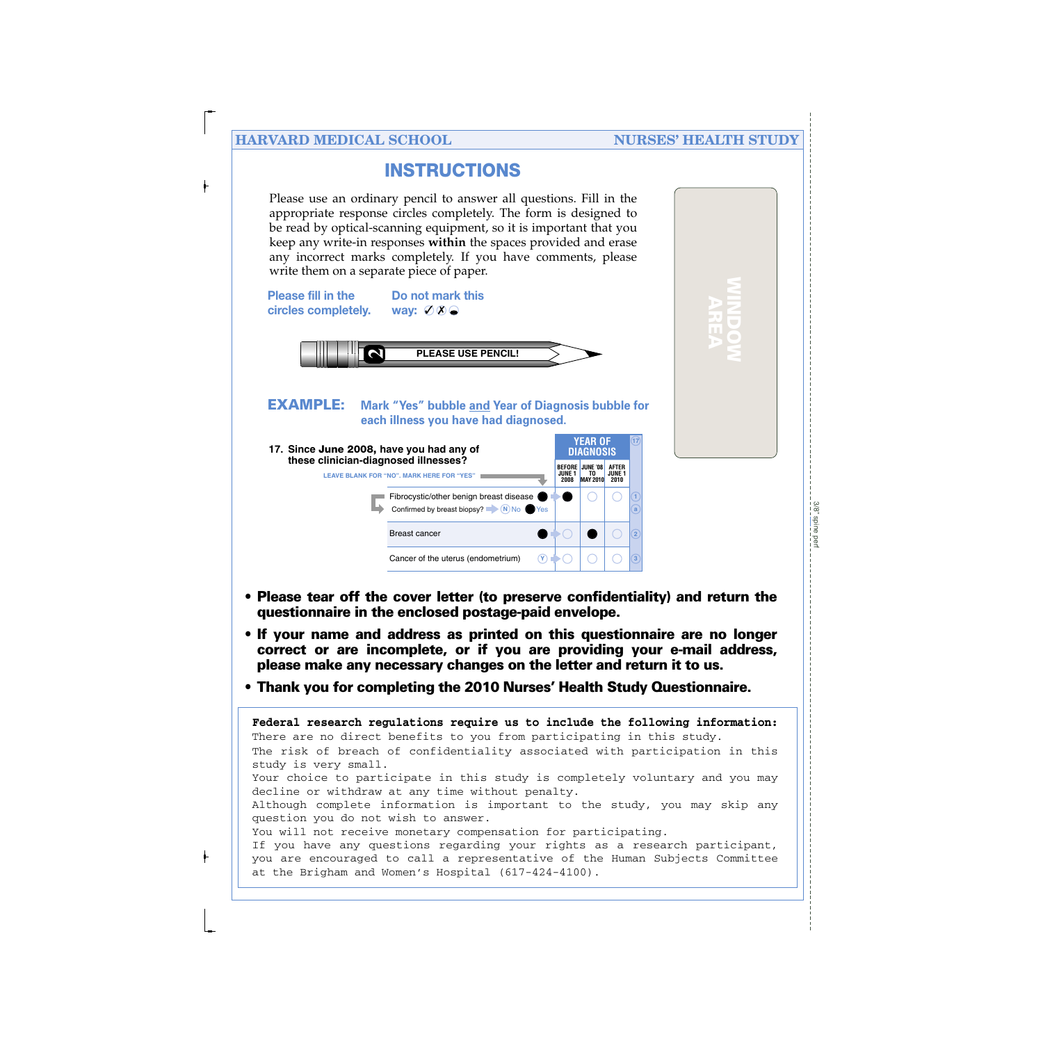**WINDOW AREA**

# **INSTRUCTIONS**

Please use an ordinary pencil to answer all questions. Fill in the appropriate response circles completely. The form is designed to be read by optical-scanning equipment, so it is important that you keep any write-in responses **within** the spaces provided and erase any incorrect marks completely. If you have comments, please write them on a separate piece of paper.



- **Please tear off the cover letter (to preserve confidentiality) and return the questionnaire in the enclosed postage-paid envelope.**
- **If your name and address as printed on this questionnaire are no longer correct or are incomplete, or if you are providing your e-mail address, please make any necessary changes on the letter and return it to us.**
- **Thank you for completing the 2010 Nurses' Health Study Questionnaire.**

The risk of breach of confidentiality associated with participation in this study is very small. Your choice to participate in this study is completely voluntary and you may decline or withdraw at any time without penalty. Although complete information is important to the study, you may skip any question you do not wish to answer. You will not receive monetary compensation for participating. If you have any questions regarding your rights as a research participant, you are encouraged to call a representative of the Human Subjects Committee at the Brigham and Women's Hospital (617-424-4100). **Federal research regulations require us to include the following information:** There are no direct benefits to you from participating in this study.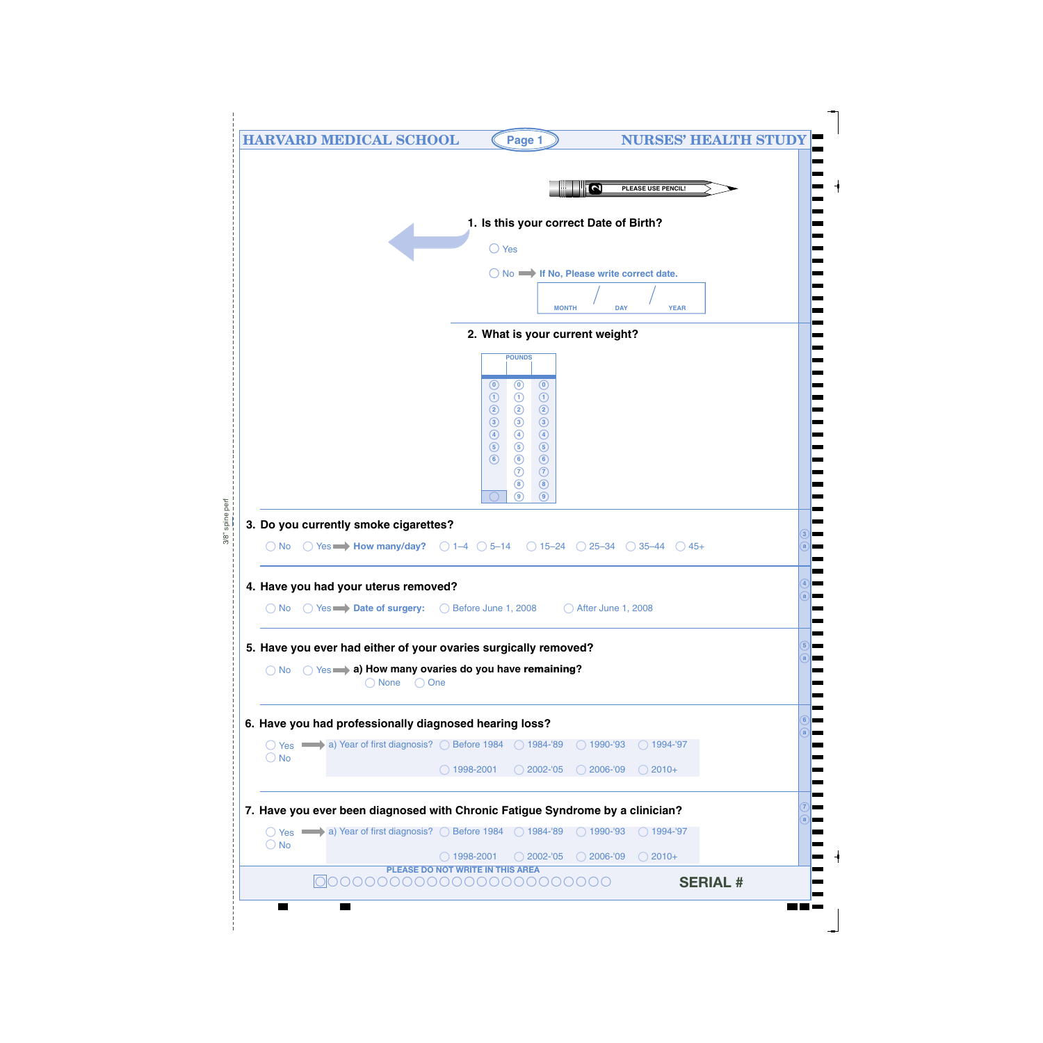|               | <b>HARVARD MEDICAL SCHOOL</b>                                                 | Page 1                                                                                                    | <b>NURSES' HEALTH STUDY</b>                   |  |
|---------------|-------------------------------------------------------------------------------|-----------------------------------------------------------------------------------------------------------|-----------------------------------------------|--|
|               |                                                                               |                                                                                                           | $\overline{\mathbf{N}}$<br>PLEASE USE PENCIL! |  |
|               |                                                                               | 1. Is this your correct Date of Birth?                                                                    |                                               |  |
|               |                                                                               | $\bigcirc$ Yes                                                                                            |                                               |  |
|               |                                                                               | ◯ No → If No, Please write correct date.                                                                  |                                               |  |
|               |                                                                               | <b>MONTH</b>                                                                                              | <b>DAY</b><br><b>YEAR</b>                     |  |
|               |                                                                               | 2. What is your current weight?                                                                           |                                               |  |
|               |                                                                               | <b>POUNDS</b>                                                                                             |                                               |  |
|               |                                                                               | $\odot$<br>$\odot$<br>$\odot$                                                                             |                                               |  |
|               |                                                                               | $\odot$<br>$\odot$<br>$\odot$<br>$\circled{2}$<br>$\circled{2}$<br>$\circled{2}$                          |                                               |  |
|               |                                                                               | $\circled{3}$<br>$\circled{3}$<br>$\circled{3}$<br>$\circled{\scriptstyle 4}$<br>$\bigcirc$<br>$\bigcirc$ |                                               |  |
|               |                                                                               | $\circledS$<br>$\circled{5}$<br>$\circled{5}$<br>$\circledcirc$<br>$\odot$<br>$\circ$                     |                                               |  |
|               |                                                                               | $\odot$<br>$\odot$<br>$\circledS$<br>$\circledast$                                                        |                                               |  |
|               |                                                                               | $\circledcirc$<br>$\circledcirc$                                                                          |                                               |  |
|               | 3. Do you currently smoke cigarettes?                                         |                                                                                                           |                                               |  |
| $()$ No       | ◯ Yes $\rightarrow$ How many/day? ◯ 1-4 ◯ 5-14 ◯ 15-24 ◯ 25-34 ◯ 35-44 ◯ 45+  |                                                                                                           |                                               |  |
|               |                                                                               |                                                                                                           |                                               |  |
|               | 4. Have you had your uterus removed?                                          |                                                                                                           |                                               |  |
|               | ◯ No ◯ Yes <b>Date of surgery:</b> ◯ Before June 1, 2008                      |                                                                                                           | ◯ After June 1, 2008                          |  |
|               | 5. Have you ever had either of your ovaries surgically removed?               |                                                                                                           |                                               |  |
|               | ◯ No ◯ Yes a) How many ovaries do you have remaining?                         |                                                                                                           |                                               |  |
|               | ○ None ○ One                                                                  |                                                                                                           |                                               |  |
|               | 6. Have you had professionally diagnosed hearing loss?                        |                                                                                                           |                                               |  |
|               | ○ Yes • a) Year of first diagnosis? ○ Before 1984 ○ 1984-'89 ○ 1990-'93       |                                                                                                           | $\bigcirc$ 1994-'97                           |  |
| $\bigcirc$ No | $\bigcirc$ 1998-2001                                                          | $\bigcirc$ 2002-'05                                                                                       | $\bigcirc$ 2006-'09<br>$\bigcirc$ 2010+       |  |
|               |                                                                               |                                                                                                           |                                               |  |
|               | 7. Have you ever been diagnosed with Chronic Fatigue Syndrome by a clinician? |                                                                                                           |                                               |  |
|               | ○ Yes • a) Year of first diagnosis? ○ Before 1984 ○ 1984-'89 ○ 1990-'93       |                                                                                                           | $\bigcirc$ 1994-'97                           |  |
| $\bigcirc$ No | $\bigcirc$ 1998-2001                                                          | $\bigcirc$ 2002-'05                                                                                       | $\bigcirc$ 2006-'09<br>$\bigcirc$ 2010+       |  |
|               | PLEASE DO NOT WRITE IN THIS AREA<br>00000000000000000000000                   |                                                                                                           | <b>SERIAL #</b>                               |  |
|               |                                                                               |                                                                                                           |                                               |  |

J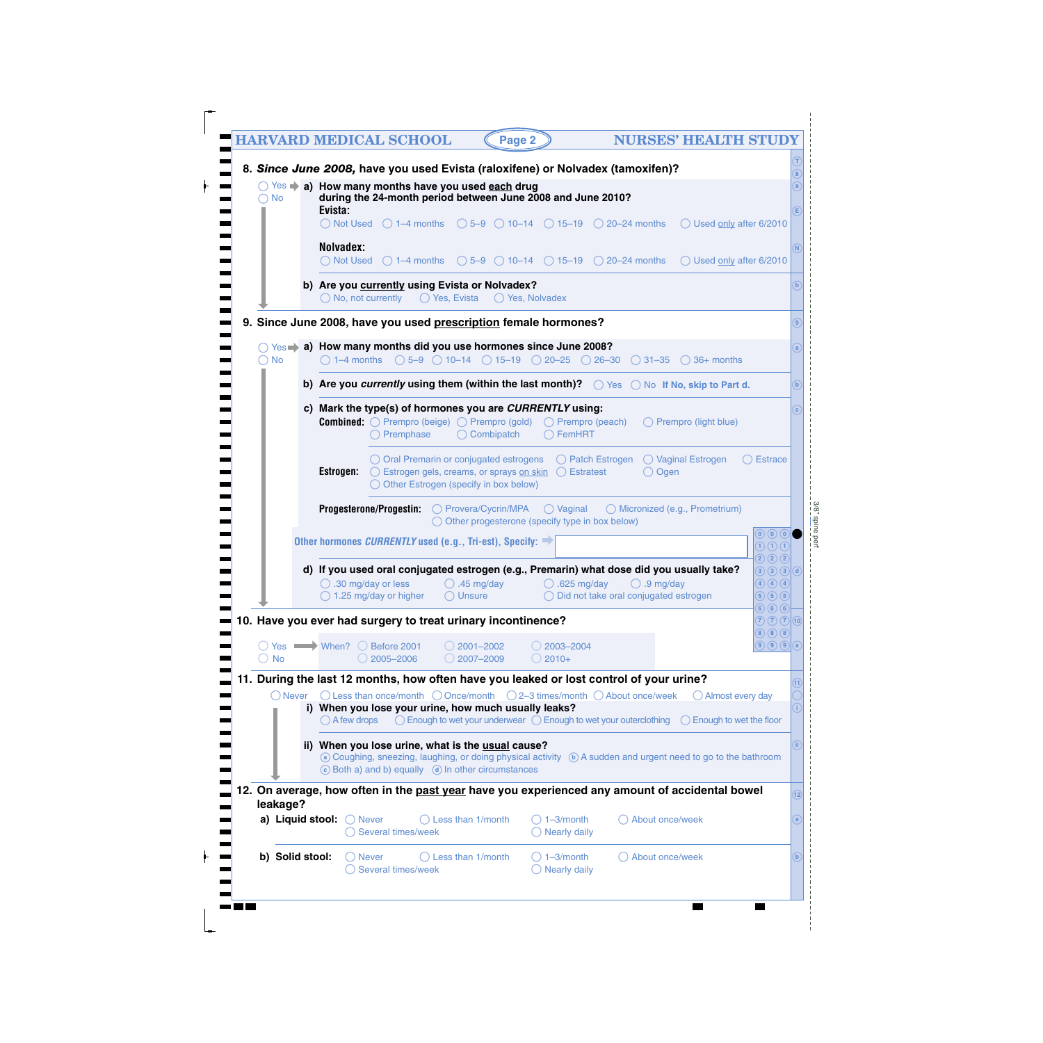|                                                          | <b>HARVARD MEDICAL SCHOOL</b><br><b>NURSES' HEALTH STUDY</b><br>Page 2                                                                                                                                                                                                         |
|----------------------------------------------------------|--------------------------------------------------------------------------------------------------------------------------------------------------------------------------------------------------------------------------------------------------------------------------------|
|                                                          | 8. Since June 2008, have you used Evista (raloxifene) or Nolvadex (tamoxifen)?<br>◯ Yes > a) How many months have you used each drug                                                                                                                                           |
| <b>No</b><br>$\left(\begin{array}{c} \end{array}\right)$ | during the 24-month period between June 2008 and June 2010?<br>Evista:                                                                                                                                                                                                         |
|                                                          | $\bigcirc$ Not Used $\bigcirc$ 1-4 months $\bigcirc$ 5-9 $\bigcirc$ 10-14 $\bigcirc$ 15-19 $\bigcirc$ 20-24 months<br>◯ Used only after 6/2010                                                                                                                                 |
|                                                          | Nolvadex:                                                                                                                                                                                                                                                                      |
|                                                          | $\bigcirc$ Not Used $\bigcirc$ 1–4 months $\bigcirc$ 5–9 $\bigcirc$ 10–14 $\bigcirc$ 15–19 $\bigcirc$ 20–24 months<br>◯ Used only after 6/2010                                                                                                                                 |
|                                                          | b) Are you currently using Evista or Nolvadex?<br>$\bigcirc$ No, not currently<br>$\bigcirc$ Yes, Evista<br>$\bigcirc$ Yes, Nolvadex                                                                                                                                           |
|                                                          | 9. Since June 2008, have you used prescription female hormones?                                                                                                                                                                                                                |
|                                                          | $\bigcirc$ Yes $\Rightarrow$ a) How many months did you use hormones since June 2008?                                                                                                                                                                                          |
| $\bigcirc$ No                                            | $\bigcirc$ 1–4 months $\bigcirc$ 5–9 $\bigcirc$ 10–14 $\bigcirc$ 15–19 $\bigcirc$ 20–25 $\bigcirc$ 26–30 $\bigcirc$ 31–35 $\bigcirc$ 36+ months                                                                                                                                |
|                                                          | b) Are you currently using them (within the last month)? $\bigcirc$ Yes $\bigcirc$ No If No, skip to Part d.                                                                                                                                                                   |
|                                                          | c) Mark the type(s) of hormones you are CURRENTLY using:<br><b>Combined:</b> $\bigcirc$ Prempro (beige) $\bigcirc$ Prempro (gold) $\bigcirc$ Prempro (peach)<br>Prempro (light blue)                                                                                           |
|                                                          | $\bigcirc$ Premphase<br>$\bigcirc$ Combipatch<br>$\bigcirc$ FemHRT                                                                                                                                                                                                             |
|                                                          | ◯ Oral Premarin or conjugated estrogens<br>$\bigcirc$ Patch Estrogen<br>◯ Vaginal Estrogen<br><b>Estrace</b>                                                                                                                                                                   |
|                                                          | Estrogen:<br>◯ Estrogen gels, creams, or sprays on skin<br>( ) Estratest<br>$\bigcirc$ Ogen<br>$\bigcirc$ Other Estrogen (specify in box below)                                                                                                                                |
|                                                          | Progesterone/Progestin: O Provera/Cycrin/MPA<br>$\bigcirc$ Vaginal<br>◯ Micronized (e.g., Prometrium)                                                                                                                                                                          |
|                                                          | $\bigcirc$ Other progesterone (specify type in box below)<br>$\left( 0\right) 0$                                                                                                                                                                                               |
|                                                          | Other hormones <i>CURRENTLY</i> used (e.g., Tri-est), Specify: $\Rightarrow$<br>$\textcircled{1}\oplus\textcircled{1}$<br>$2)$ $2)$ $2)$                                                                                                                                       |
|                                                          | d) If you used oral conjugated estrogen (e.g., Premarin) what dose did you usually take?<br>$(3)$ $(3)$ $(3)$ $(d)$<br>$\bigcirc$ .30 mg/day or less<br>$\bigcirc$ .45 mg/day<br>$\bigcirc$ .625 mg/day<br>$\bigcirc$ .9 mg/day<br>$\bigcirc$ $\bigcirc$ $\bigcirc$ $\bigcirc$ |
|                                                          | $\bigcirc$ 1.25 mg/day or higher<br>$\bigcirc$ Unsure<br>$\bigcirc$ Did not take oral conjugated estrogen<br>$\circ$ 5 $\circ$<br>$\circledcirc$ (6) (6)                                                                                                                       |
|                                                          | 10. Have you ever had surgery to treat urinary incontinence?<br>$(2)$ $(2)$ $(10)$<br>(8)(8)(8)                                                                                                                                                                                |
|                                                          | $\bigcirc$ $\bigcirc$ $\bigcirc$ $\bigcirc$ $\bigcirc$<br>◯ Yes When? ◯ Before 2001<br>$\bigcirc$ 2001-2002<br>$\bigcirc$ 2003-2004                                                                                                                                            |
| $\bigcirc$ No                                            | 2005-2006<br>$\bigcirc$ 2007–2009<br>$\bigcirc$ 2010+                                                                                                                                                                                                                          |
| ◯ Never                                                  | 11. During the last 12 months, how often have you leaked or lost control of your urine?<br>$\bigcirc$ Less than once/month $\bigcirc$ Once/month $\bigcirc$ 2–3 times/month $\bigcirc$ About once/week<br>$\bigcirc$ Almost every day                                          |
|                                                          | i) When you lose your urine, how much usually leaks?<br>$\bigcirc$ Enough to wet your underwear $\bigcirc$ Enough to wet your outerclothing<br>$\bigcirc$ A few drops<br>$\bigcirc$ Enough to wet the floor                                                                    |
|                                                          |                                                                                                                                                                                                                                                                                |
|                                                          | ii) When you lose urine, what is the usual cause?<br>⊙ Coughing, sneezing, laughing, or doing physical activity ⊙ A sudden and urgent need to go to the bathroom                                                                                                               |
|                                                          | C Both a) and b) equally (d) In other circumstances                                                                                                                                                                                                                            |
| leakage?                                                 | 12. On average, how often in the past year have you experienced any amount of accidental bowel                                                                                                                                                                                 |
| a) Liquid stool:                                         | $\bigcirc$ Less than 1/month<br>$\bigcirc$ Never<br>$\bigcirc$ 1-3/month<br>About once/week<br>Several times/week<br><b>Nearly daily</b>                                                                                                                                       |
| b) Solid stool:                                          | $\bigcirc$ 1-3/month<br>Less than 1/month<br>About once/week<br>( ) Never                                                                                                                                                                                                      |
|                                                          | Several times/week<br>$\bigcirc$ Nearly daily                                                                                                                                                                                                                                  |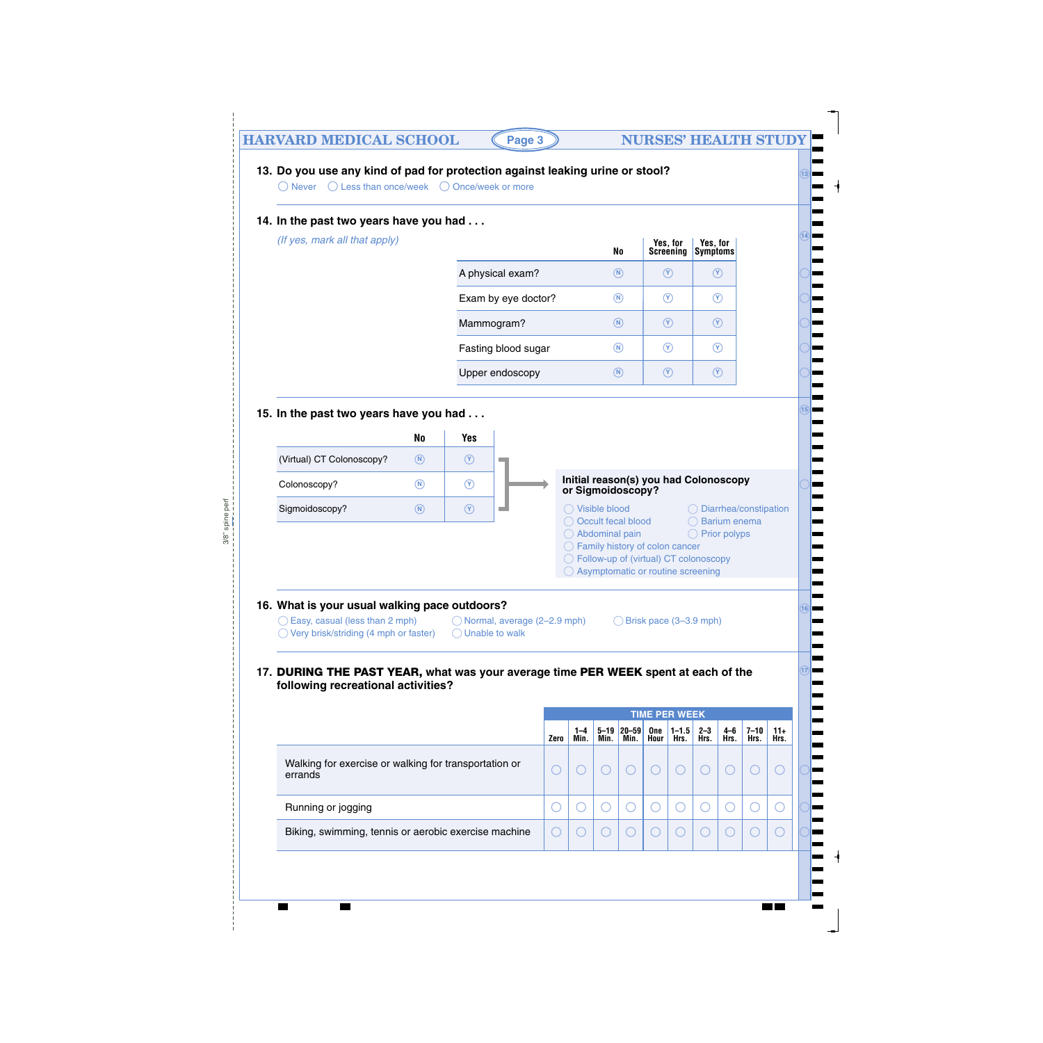# **HARVARD MEDICAL SCHOOL (Page 3) NURSES' HEALTH STUDY**

**14**

**13**

**15**

#### **13. Do you use any kind of pad for protection against leaking urine or stool?**

Never  $\bigcup$  Less than once/week  $\bigcup$  Once/week or more

#### **14. In the past two years have you had . . .**

*(If yes, mark all that apply)* 

|                     | No                         | Yes, for<br>Screening | Yes, for<br>Symptoms |
|---------------------|----------------------------|-----------------------|----------------------|
| A physical exam?    | $\left( \mathbf{N}\right)$ | Y.                    |                      |
| Exam by eye doctor? | N)                         | Y)                    | Y)                   |
| Mammogram?          | $(\mathsf{N})$             | Y)                    | Y                    |
| Fasting blood sugar | N)                         | Y)                    | Υ.                   |
| Upper endoscopy     | $\mathbf N$                |                       |                      |

#### **15. In the past two years have you had . . .**



#### **16. What is your usual walking pace outdoors?**

- ◯ Easy, casual (less than 2 mph)  $\bigcirc$  Normal, average (2–2.9 mph)  $\bigcirc$  Brisk pace (3–3.9 mph)
- $\bigcirc$  Very brisk/striding (4 mph or faster)  $\bigcirc$  Unable to walk
- -

#### **<sup>17</sup> 17. DURING THE PAST YEAR, what was your average time PER WEEK spent at each of the following recreational activities?**

|                                                                  |      | <b>TIME PER WEEK</b> |                  |                     |             |                   |                 |             |                  |               |
|------------------------------------------------------------------|------|----------------------|------------------|---------------------|-------------|-------------------|-----------------|-------------|------------------|---------------|
|                                                                  | Zero | $1 - 4$<br>Min.      | $5 - 19$<br>Min. | $ 20 - 59 $<br>Min. | One<br>Hour | $1 - 1.5$<br>Hrs. | $2 - 3$<br>Hrs. | 4-6<br>Hrs. | $7 - 10$<br>Hrs. | $11+$<br>Hrs. |
| Walking for exercise or walking for transportation or<br>errands |      |                      |                  |                     |             |                   |                 |             |                  |               |
| Running or jogging                                               |      |                      |                  |                     |             |                   |                 |             |                  |               |
| Biking, swimming, tennis or aerobic exercise machine             |      |                      |                  |                     |             |                   |                 |             |                  |               |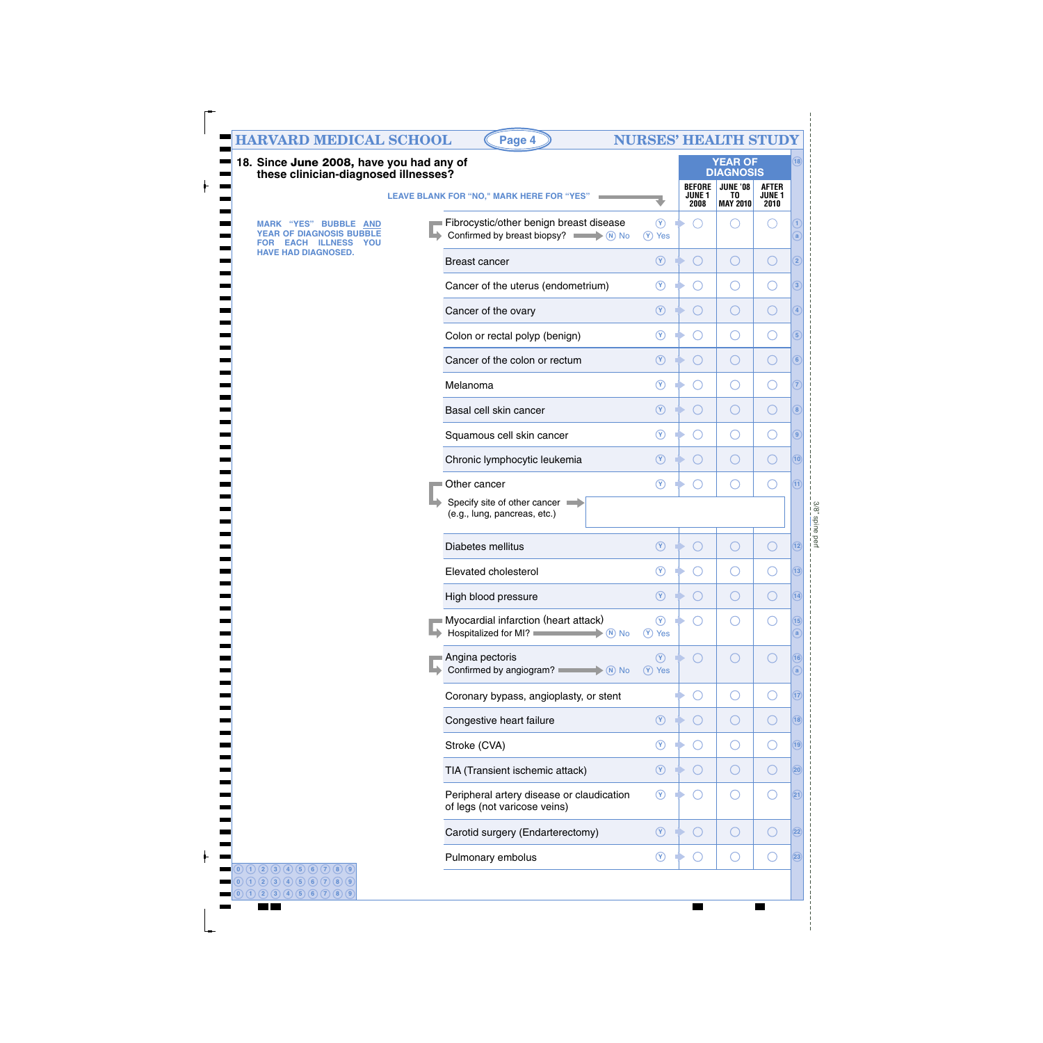| <b>HARVARD MEDICAL SCHOOL</b><br>18. Since June 2008, have you had any of                  | Page 4                                                                                             |                             |                                                 | <b>NURSES' HEALTH STUDY</b><br><b>YEAR OF</b>                |                                       | (18)                 |
|--------------------------------------------------------------------------------------------|----------------------------------------------------------------------------------------------------|-----------------------------|-------------------------------------------------|--------------------------------------------------------------|---------------------------------------|----------------------|
| these clinician-diagnosed illnesses?                                                       | LEAVE BLANK FOR "NO," MARK HERE FOR "YES"                                                          |                             | <b>BEFORE</b><br><b>JUNE 1</b><br>2008          | <b>DIAGNOSIS</b><br><b>JUNE '08</b><br>TO<br><b>MAY 2010</b> | <b>AFTER</b><br><b>JUNE 1</b><br>2010 |                      |
| <b>MARK "YES" BUBBLE AND</b><br>YEAR OF DIAGNOSIS BUBBLE<br><b>EACH ILLNESS YOU</b><br>FOR | Fibrocystic/other benign breast disease<br>Confirmed by breast biopsy? $\overline{\phantom{a}}$ No | $\circledcirc$<br>$(Y)$ Yes |                                                 | Œ                                                            |                                       | a                    |
| <b>HAVE HAD DIAGNOSED.</b>                                                                 | <b>Breast cancer</b>                                                                               | $\circledcirc$              | $(\ )$                                          | O                                                            | O                                     | $\overline{2}$       |
|                                                                                            | Cancer of the uterus (endometrium)                                                                 | $\circledcirc$              | $\left( \begin{array}{c} 1 \end{array} \right)$ | O                                                            | $\bigcirc$                            | $\sqrt{3}$           |
|                                                                                            | Cancer of the ovary                                                                                | $\circledcirc$              | ◯                                               | O                                                            | O                                     | $\left( 4\right)$    |
|                                                                                            | Colon or rectal polyp (benign)                                                                     | $\circledcirc$              | $\left( \begin{array}{c} 1 \end{array} \right)$ | O                                                            | $\bigcirc$                            | $\boxed{5}$          |
|                                                                                            | Cancer of the colon or rectum                                                                      | $\circledcirc$              | $(\ )$                                          | O                                                            | O                                     | $\left( 6\right)$    |
|                                                                                            | Melanoma                                                                                           | $\circledcirc$              | $\left(\right)$                                 | O                                                            | O                                     | $\overline{7}$       |
|                                                                                            | Basal cell skin cancer                                                                             | $\circledcirc$              | $(\ )$                                          | O                                                            | $\bigcirc$                            | $\boxed{8}$          |
|                                                                                            | Squamous cell skin cancer                                                                          | $\circledcirc$              | $(\ )$                                          | O                                                            | $\bigcirc$                            | $\boxed{9}$          |
|                                                                                            | Chronic lymphocytic leukemia                                                                       | $\circledcirc$              | $(\ )$                                          | O                                                            | $\bigcirc$                            | (10)                 |
|                                                                                            | Other cancer                                                                                       | $\circledcirc$              |                                                 | ∩                                                            | $( \ )$                               | (11)                 |
|                                                                                            | Specify site of other cancer<br>(e.g., lung, pancreas, etc.)                                       |                             |                                                 |                                                              |                                       |                      |
|                                                                                            | Diabetes mellitus                                                                                  | $\circledcirc$              | $(\ )$                                          | O                                                            | ( )                                   | (12)                 |
|                                                                                            | Elevated cholesterol                                                                               | $\circledcirc$              | $(\ )$                                          | O                                                            | $\bigcirc$                            | (13)                 |
|                                                                                            | High blood pressure                                                                                | $\circledcirc$              |                                                 |                                                              |                                       | $\sqrt{14}$          |
|                                                                                            | Myocardial infarction (heart attack)<br>Hospitalized for MI?<br>$\blacktriangleright$ (N) No       | $\circledcirc$<br>(Y) Yes   |                                                 | ∩                                                            | ( )                                   | (15)<br>$\mathbf{a}$ |
|                                                                                            | Angina pectoris<br>Confirmed by angiogram?<br>$\blacktriangleright$ (N) No                         | $\circledcirc$<br>(Y) Yes   | $\left( \begin{array}{c} \end{array} \right)$   | ○                                                            | $(\ )$                                | (16)<br>(a           |
|                                                                                            | Coronary bypass, angioplasty, or stent                                                             |                             |                                                 | $\bigcirc$                                                   | ◯                                     | (17)                 |
|                                                                                            | Congestive heart failure                                                                           | $\circledcirc$              |                                                 | $\bigcirc$                                                   | $\left(\ \right)$                     | (18)                 |
|                                                                                            | Stroke (CVA)                                                                                       | $\circledcirc$              |                                                 | O                                                            | $\left(\ \right)$                     | (19)                 |
|                                                                                            | TIA (Transient ischemic attack)                                                                    | $\circledcirc$              |                                                 | $\bigcirc$                                                   | $\left(\ \right)$                     | (20)                 |
|                                                                                            | Peripheral artery disease or claudication<br>of legs (not varicose veins)                          | $\circledcirc$              |                                                 | O                                                            | $( \ )$                               | (21)                 |
|                                                                                            | Carotid surgery (Endarterectomy)                                                                   | $\circledcirc$              |                                                 | $\bigcirc$                                                   | ( )                                   | (22)                 |
|                                                                                            | Pulmonary embolus                                                                                  | $\circledcirc$              | $( \ )$                                         | O                                                            | $( \ )$                               | (23)                 |

 $\begin{bmatrix} 1 & 1 & 1 \\ 1 & 1 & 1 \\ 1 & 1 & 1 \end{bmatrix}$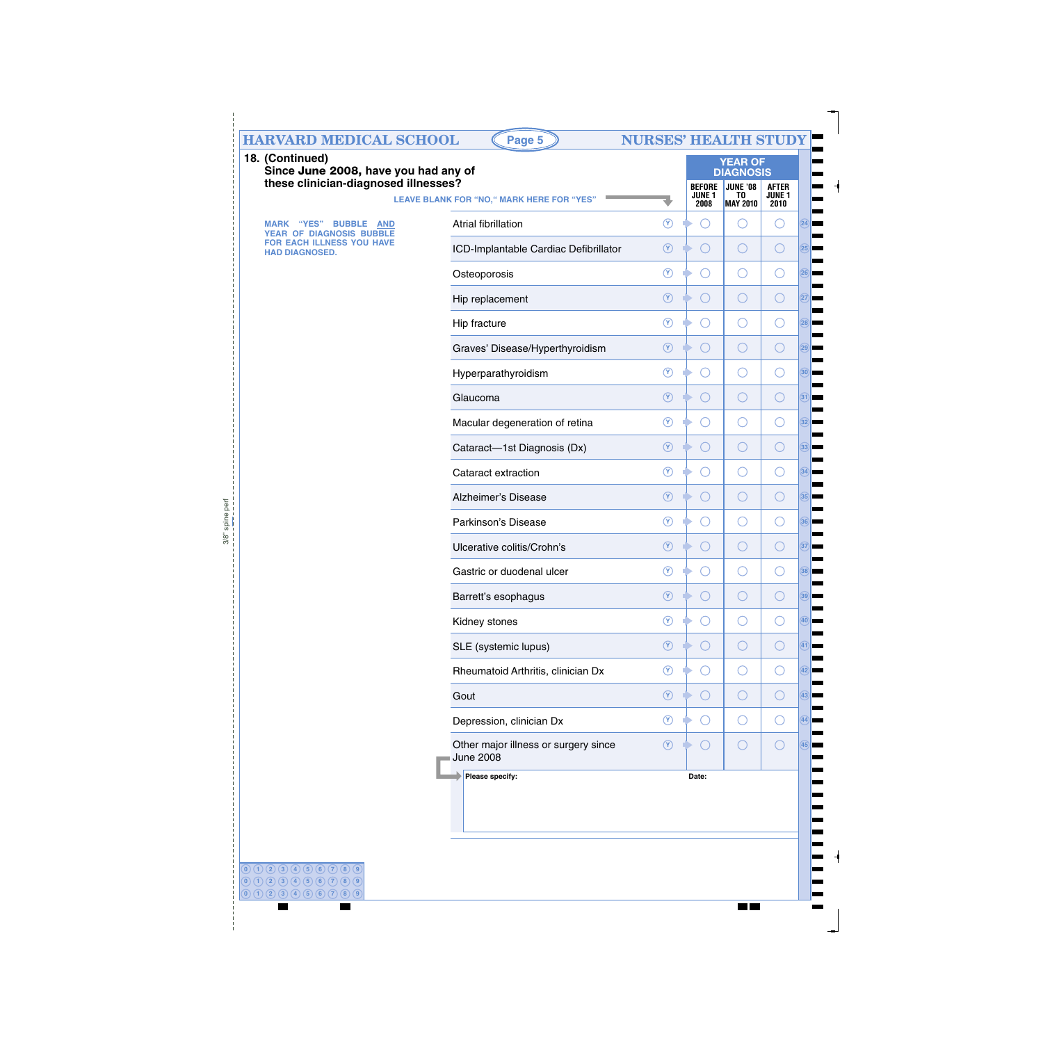|                                                                                                 | <b>HARVARD MEDICAL SCHOOL</b><br>Page 5                  | <b>NURSES' HEALTH STUDY</b> |                                               |                                                                                |                                       |
|-------------------------------------------------------------------------------------------------|----------------------------------------------------------|-----------------------------|-----------------------------------------------|--------------------------------------------------------------------------------|---------------------------------------|
| 18. (Continued)<br>Since June 2008, have you had any of<br>these clinician-diagnosed illnesses? | LEAVE BLANK FOR "NO," MARK HERE FOR "YES"                |                             | <b>BEFORE</b><br>JUNE <sub>1</sub><br>2008    | <b>YEAR OF</b><br><b>DIAGNOSIS</b><br><b>JUNE '08</b><br>TO<br><b>MAY 2010</b> | <b>AFTER</b><br><b>JUNE 1</b><br>2010 |
| "YES" BUBBLE<br>MARK<br><b>AND</b>                                                              | <b>Atrial fibrillation</b>                               | $\circledcirc$              | ◯                                             | $\left(\right)$                                                                | $(\ )$                                |
| YEAR OF DIAGNOSIS BUBBLE<br><b>FOR EACH ILLNESS YOU HAVE</b><br><b>HAD DIAGNOSED.</b>           | ICD-Implantable Cardiac Defibrillator                    | $\circledcirc$              | $\bigcirc$                                    | O                                                                              | $\left(\ \right)$                     |
|                                                                                                 | Osteoporosis                                             | $\circledcirc$              | O                                             | O                                                                              | ( )                                   |
|                                                                                                 | Hip replacement                                          | $\circledcirc$              | $\bigcirc$                                    | O                                                                              | ( )                                   |
|                                                                                                 | Hip fracture                                             | $\circledcirc$              | O                                             | O                                                                              | ( )                                   |
|                                                                                                 | Graves' Disease/Hyperthyroidism                          | $\circledcirc$              | $\bigcirc$                                    | O                                                                              | ( )                                   |
|                                                                                                 | Hyperparathyroidism                                      | $\circledcirc$              | O                                             | O                                                                              | ( )                                   |
|                                                                                                 | Glaucoma                                                 | $\circledcirc$              | $\bigcirc$                                    | O                                                                              | ( )                                   |
|                                                                                                 | Macular degeneration of retina                           | $\circledcirc$              | $\left(\ \right)$                             | O                                                                              | ( )                                   |
|                                                                                                 | Cataract-1st Diagnosis (Dx)                              | $\circledcirc$              | $\bigcirc$                                    | O                                                                              | ( )                                   |
|                                                                                                 | Cataract extraction                                      | $\circledcirc$              | O                                             | O                                                                              | ( )                                   |
|                                                                                                 | Alzheimer's Disease                                      | $\circledcirc$              | $\bigcirc$                                    | O                                                                              | ( )                                   |
|                                                                                                 | Parkinson's Disease                                      | $\circledcirc$              | $\bigcirc$                                    | O                                                                              | ( )                                   |
|                                                                                                 | Ulcerative colitis/Crohn's                               | $\circledcirc$              | $\bigcirc$                                    | O                                                                              | $( \ )$                               |
|                                                                                                 | Gastric or duodenal ulcer                                | $\circled{r}$               | $(\ )$                                        | O                                                                              | $( \ )$                               |
|                                                                                                 | Barrett's esophagus                                      | $\circledR$                 |                                               |                                                                                |                                       |
|                                                                                                 | Kidney stones                                            | $\circledcirc$              | O                                             | ( )                                                                            |                                       |
|                                                                                                 | SLE (systemic lupus)                                     | $\circledcirc$              | O                                             | $\left(\right)$                                                                | $(\ )$                                |
|                                                                                                 | Rheumatoid Arthritis, clinician Dx                       | $\circledcirc$              | O                                             | $\left(\right)$                                                                | ( )                                   |
|                                                                                                 | Gout                                                     | $\circledcirc$              | O                                             | $\left(\right)$                                                                | $(\ )$                                |
|                                                                                                 | Depression, clinician Dx                                 | $\circledcirc$              | ( )                                           | O                                                                              |                                       |
|                                                                                                 | Other major illness or surgery since<br><b>June 2008</b> | $\circledcirc$              | $\left( \begin{array}{c} \end{array} \right)$ | $\bigcirc$                                                                     |                                       |
|                                                                                                 | Please specify:                                          |                             | Date:                                         |                                                                                |                                       |

 ${\bf 0}$   ${\bf 0}$   ${\bf (1)$   ${\bf (2) (3) (4) (5) (6) (7) (8) (9)}$  ${\bf 0}$   ${\bf 0}$   ${\bf (1)$   ${\bf (2) (3) (4) (5) (6) (7) (8) (9)}$  ${\bf 0}$   ${\bf 0}$   ${\bf (1)$   ${\bf (2) (3) (4) (5) (6) (7) (8) (9)}$  $\blacksquare$  $\overline{\phantom{a}}$ 

3/8" spine perf

3/8" spine perf

 $\frac{1}{1}$ 

۰

 $\overline{\phantom{a}}$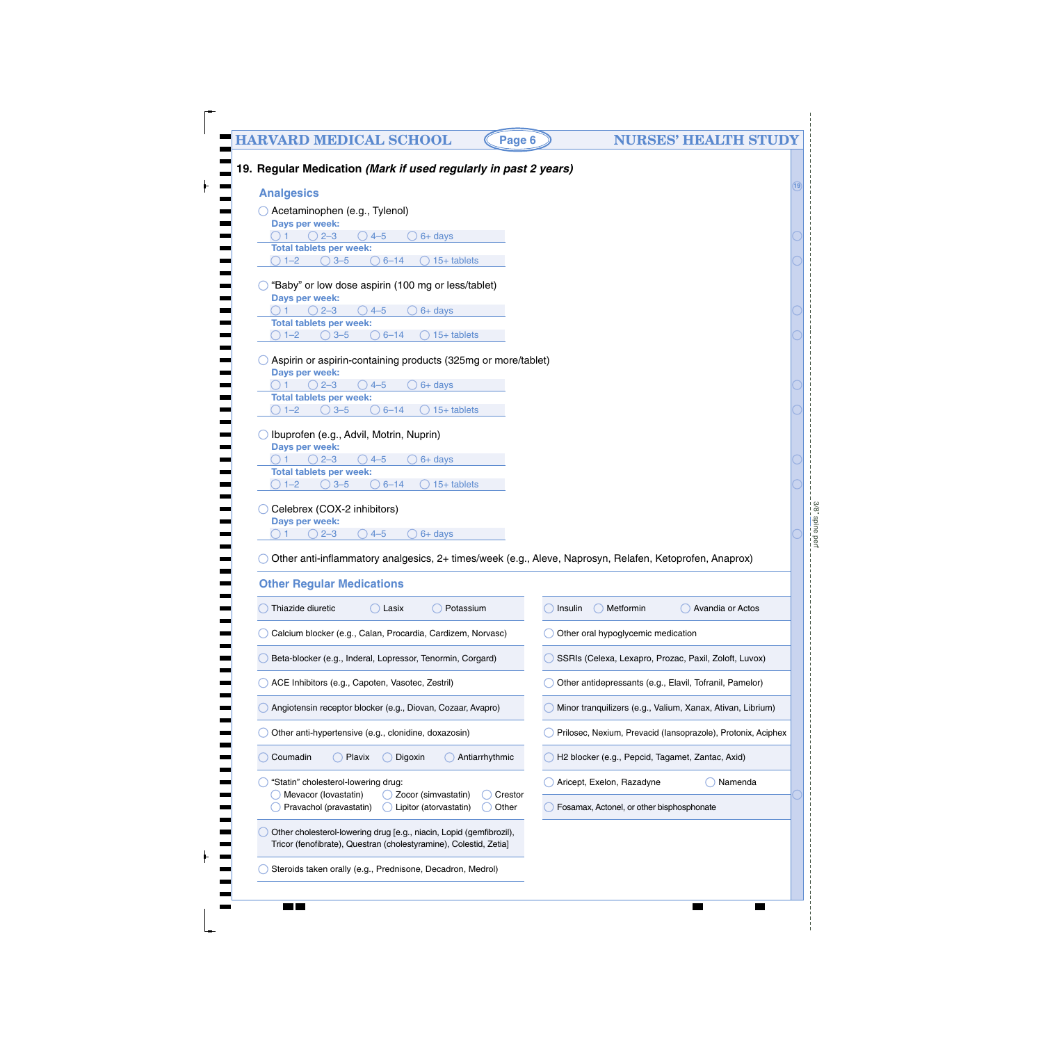# **HARVARD MEDICAL SCHOOL (Page 6) NURSES' HEALTH STUDY 19. Regular Medication** *(Mark if used regularly in past 2 years)*  **Analgesics** Acetaminophen (e.g., Tylenol) **Days per week:**

1  $\bigcirc$  2–3  $\bigcirc$  4–5  $\bigcirc$  6+ days 1–2  $\bigcirc$  3–5  $\bigcirc$  6–14  $\bigcirc$  15+ tablets **Total tablets per week:** 

- $\bigcirc$  "Baby" or low dose aspirin (100 mg or less/tablet)  $\bigcirc$  1  $\bigcirc$  2-3 **Days per week:**   $\bigcirc$  4–5  $\bigcirc$  6+ days 1–2  $\bigcirc$  3–5  $\bigcirc$  6–14  $\bigcirc$  15+ tablets **Total tablets per week:**
- Aspirin or aspirin-containing products (325mg or more/tablet)  $\bigcirc$  1  $\bigcirc$  2–3 **Days per week:**   $\bigcirc$  4–5  $\bigcirc$  6+ days

1–2  $\bigcirc$  3–5  $\bigcirc$  6–14  $\bigcirc$  15+ tablets **Total tablets per week:** 

- Ibuprofen (e.g., Advil, Motrin, Nuprin) 1  $\bigcirc$  2–3  $\bigcirc$  4–5  $\bigcirc$  6+ days **Days per week:**  1–2  $\bigcirc$  3–5  $\bigcirc$  6–14  $\bigcirc$  15+ tablets **Total tablets per week:**
- Celebrex (COX-2 inhibitors) 1  $\bigcirc$  2–3  $\bigcirc$  4–5  $\bigcirc$  6+ days **Days per week:**

Other anti-inflammatory analgesics, 2+ times/week (e.g., Aleve, Naprosyn, Relafen, Ketoprofen, Anaprox)

| <b>Other Regular Medications</b>                                                                                                         |                                                              |
|------------------------------------------------------------------------------------------------------------------------------------------|--------------------------------------------------------------|
| Thiazide diuretic<br>Potassium<br>Lasix                                                                                                  | Metformin<br>Avandia or Actos<br>Insulin                     |
| Calcium blocker (e.g., Calan, Procardia, Cardizem, Norvasc)                                                                              | Other oral hypoglycemic medication                           |
| Beta-blocker (e.g., Inderal, Lopressor, Tenormin, Corgard)                                                                               | SSRIs (Celexa, Lexapro, Prozac, Paxil, Zoloft, Luvox)        |
| ACE Inhibitors (e.g., Capoten, Vasotec, Zestril)                                                                                         | Other antidepressants (e.g., Elavil, Tofranil, Pamelor)      |
| Angiotensin receptor blocker (e.g., Diovan, Cozaar, Avapro)                                                                              | Minor tranquilizers (e.g., Valium, Xanax, Ativan, Librium)   |
| Other anti-hypertensive (e.g., clonidine, doxazosin)                                                                                     | Prilosec, Nexium, Prevacid (lansoprazole), Protonix, Aciphex |
| Coumadin<br>Plavix<br>Digoxin<br>Antiarrhythmic                                                                                          | H2 blocker (e.g., Pepcid, Tagamet, Zantac, Axid)             |
| "Statin" cholesterol-lowering drug:<br>Crestor                                                                                           | Aricept, Exelon, Razadyne<br>Namenda                         |
| Mevacor (lovastatin)<br>Zocor (simvastatin)<br>Pravachol (pravastatin)<br>Lipitor (atorvastatin)<br>Other                                | Fosamax, Actonel, or other bisphosphonate                    |
| Other cholesterol-lowering drug [e.g., niacin, Lopid (gemfibrozil),<br>Tricor (fenofibrate), Questran (cholestyramine), Colestid, Zetia] |                                                              |
| Steroids taken orally (e.g., Prednisone, Decadron, Medrol)                                                                               |                                                              |

# $3/8"$  spine per 3/8" spine perf

**19**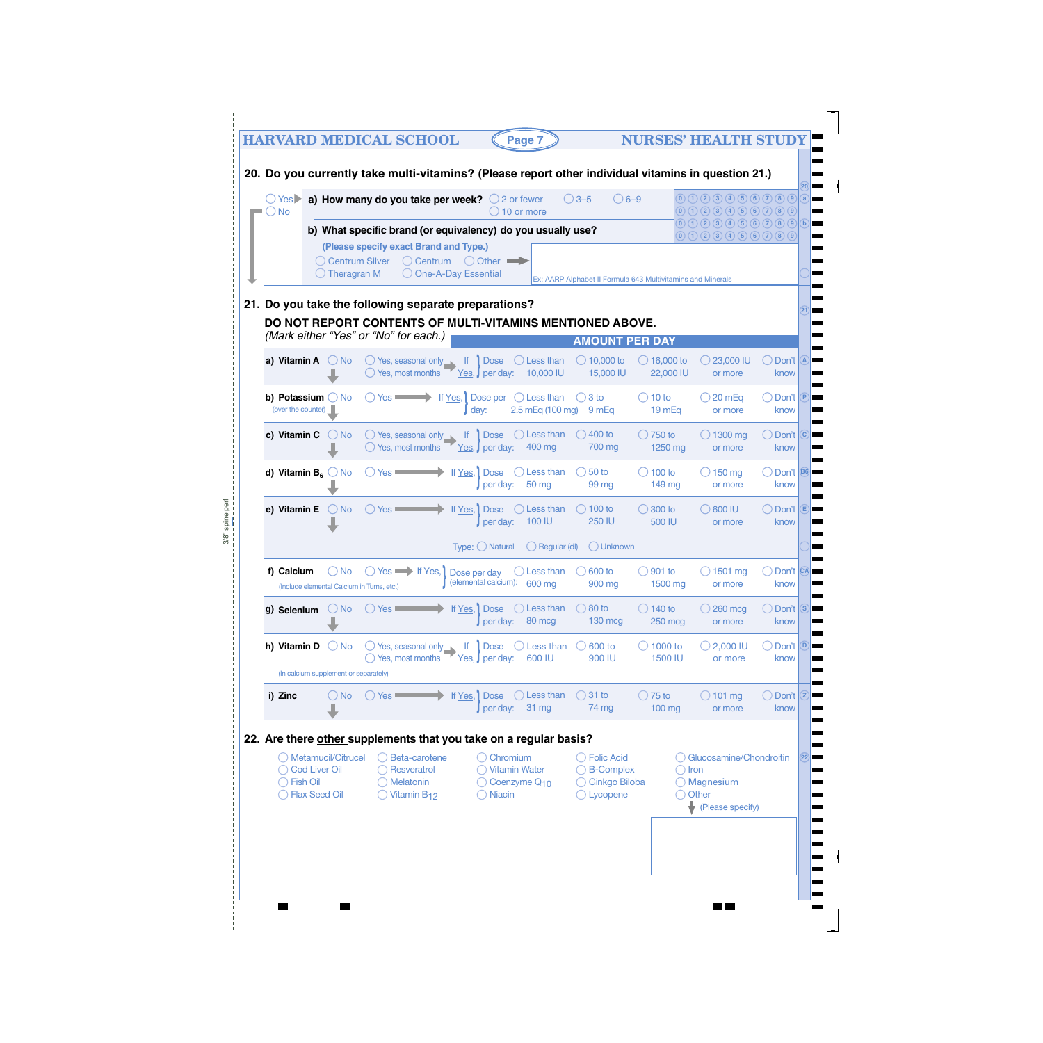|  | $\bigcirc$ Yes                                   |                                                        |                               | a) How many do you take per week? $\bigcirc$ 2 or fewer                                           |                                      |                                                          |                       |                                          | $()3-5$ | 20. Do you currently take multi-vitamins? (Please report other individual vitamins in question 21.)<br>$\bigcirc$ 6-9 |                                     | $(0)$ (1) (2) (3) (4) (5) (6) (7) (8) (9)                                                  |                    |           |                                     |
|--|--------------------------------------------------|--------------------------------------------------------|-------------------------------|---------------------------------------------------------------------------------------------------|--------------------------------------|----------------------------------------------------------|-----------------------|------------------------------------------|---------|-----------------------------------------------------------------------------------------------------------------------|-------------------------------------|--------------------------------------------------------------------------------------------|--------------------|-----------|-------------------------------------|
|  | $\bigcirc$ No                                    |                                                        |                               |                                                                                                   |                                      |                                                          | $\bigcirc$ 10 or more |                                          |         |                                                                                                                       |                                     | $0$ (1) (2) (3) (4) (5) (6) (7) (8) (9)                                                    |                    |           |                                     |
|  |                                                  |                                                        |                               | b) What specific brand (or equivalency) do you usually use?                                       |                                      |                                                          |                       |                                          |         |                                                                                                                       |                                     | $(0)$ (1) (2) (3) (4) (5) (6) (7) (8) (9) (b)<br>$(0)$ (1) (2) (3) (4) (5) (6) (7) (8) (9) |                    |           |                                     |
|  |                                                  | ◯ Centrum Silver                                       |                               | (Please specify exact Brand and Type.)<br>$\bigcirc$ Centrum                                      |                                      | $\bigcirc$ Other                                         |                       |                                          |         |                                                                                                                       |                                     |                                                                                            |                    |           |                                     |
|  |                                                  | $\bigcirc$ Theragran M                                 |                               |                                                                                                   | O One-A-Day Essential                |                                                          |                       |                                          |         | Ex: AARP Alphabet II Formula 643 Multivitamins and Minerals                                                           |                                     |                                                                                            |                    |           |                                     |
|  |                                                  |                                                        |                               | 21. Do you take the following separate preparations?                                              |                                      |                                                          |                       |                                          |         |                                                                                                                       |                                     |                                                                                            |                    |           |                                     |
|  |                                                  |                                                        |                               |                                                                                                   |                                      |                                                          |                       |                                          |         | DO NOT REPORT CONTENTS OF MULTI-VITAMINS MENTIONED ABOVE.                                                             |                                     |                                                                                            |                    |           |                                     |
|  |                                                  |                                                        |                               | (Mark either "Yes" or "No" for each.)                                                             |                                      |                                                          |                       |                                          |         | <b>AMOUNT PER DAY</b>                                                                                                 |                                     |                                                                                            |                    |           |                                     |
|  | a) Vitamin A                                     | $\bigcirc$ No                                          |                               | $\bigcirc$ Yes, seasonal only $\Box$<br>$\bigcirc$ Yes, most months                               | $\mathbf{H}$                         | <b>Dose</b><br>Yes, <b>J</b> per day:                    |                       | Less than<br>10,000 IU                   |         | $\bigcirc$ 10,000 to<br>15,000 IU                                                                                     | $\bigcirc$ 16,000 to<br>22,000 IU   | $\bigcirc$ 23,000 IU                                                                       | or more            |           | Don't A<br>know                     |
|  | b) Potassium $\bigcirc$ No<br>(over the counter) |                                                        |                               | $()$ Yes $\blacksquare$                                                                           | If Yes, Dose per<br>day:             |                                                          |                       | $\bigcirc$ Less than<br>2.5 mEq (100 mg) |         | $\bigcirc$ 3 to<br>9 mEq                                                                                              | $\bigcirc$ 10 to<br>19 mEq          | $\bigcirc$ 20 mEq                                                                          | or more            |           | Don't P<br>know                     |
|  | c) Vitamin C                                     | $()$ No                                                |                               | $\bigcirc$ Yes, seasonal only $\Box$<br>$\bigcirc$ Yes, most months                               | $\mathbf{H}$                         | <b>Dose</b><br>$Yes,$ per day:                           |                       | $\bigcirc$ Less than<br>400 mg           |         | $\bigcirc$ 400 to<br>700 mg                                                                                           | $\bigcirc$ 750 to<br>1250 mg        | $\bigcirc$ 1300 mg                                                                         | or more            |           | Don't $\vert$ C<br>know             |
|  | d) Vitamin $B_6$ No                              |                                                        | ( ) Yes ■                     |                                                                                                   | If Yes, Dose                         | per day:                                                 |                       | Less than<br>50 mg                       |         | $\bigcirc$ 50 to<br>99 mg                                                                                             | $\bigcirc$ 100 to<br>149 mg         | $\bigcirc$ 150 mg                                                                          | or more            |           | Don't B <sub>6</sub><br>know        |
|  | e) Vitamin E                                     | $\bigcirc$ No                                          | $()$ Yes                      |                                                                                                   | If Yes, Dose                         | per day:                                                 |                       | Less than<br>100 IU                      |         | $\bigcirc$ 100 to<br>250 IU                                                                                           | $\bigcirc$ 300 to<br>500 IU         | $\bigcirc$ 600 IU                                                                          | or more            |           | Don't E<br>know                     |
|  |                                                  |                                                        |                               |                                                                                                   | Type: ◯ Natural                      |                                                          |                       | $\bigcirc$ Regular (dl)                  |         | ◯ Unknown                                                                                                             |                                     |                                                                                            |                    |           |                                     |
|  | f) Calcium                                       | ) No<br>(Include elemental Calcium in Tums, etc.)      |                               | Yes If Yes,                                                                                       | Dose per day<br>(elemental calcium): |                                                          |                       | Less than<br>600 mg                      |         | 600 to<br>900 mg                                                                                                      | $\bigcirc$ 901 to<br>1500 mg        |                                                                                            | 1501 mg<br>or more |           | Don't CA<br>know                    |
|  | g) Selenium                                      | $\bigcirc$ No                                          | $\bigcirc$ Yes $\blacksquare$ |                                                                                                   | If Yes, Dose                         | per day:                                                 |                       | $\bigcirc$ Less than<br>80 mcg           |         | $\bigcirc$ 80 to<br>$130$ mcg                                                                                         | $\bigcirc$ 140 to<br><b>250 mcg</b> | $\bigcirc$ 260 mcg                                                                         | or more            | ◯ Don't S | know                                |
|  | h) Vitamin D                                     | $\bigcirc$ No                                          |                               | $\bigcirc$ Yes, seasonal only $\Box$<br>Yes, most months                                          | lf.                                  | <b>Dose</b><br>$Yes,$ per day:                           |                       | Less than<br>600 IU                      |         | 600 to<br>900 IU                                                                                                      | $\bigcirc$ 1000 to<br>1500 IU       | $\bigcirc$ 2,000 IU                                                                        | or more            |           | Don't <b>D</b><br>know              |
|  | i) Zinc                                          | (In calcium supplement or separately)<br>$\bigcirc$ No | $\bigcirc$ Yes                |                                                                                                   | If Yes, Dose                         | per day:                                                 |                       | $\bigcirc$ Less than<br>31 mg            |         | $\bigcirc$ 31 to<br>74 mg                                                                                             | $\bigcirc$ 75 to<br>$100$ mg        | $\bigcirc$ 101 mg                                                                          | or more            |           | $\bigcirc$ Don't $\bigcirc$<br>know |
|  |                                                  |                                                        |                               |                                                                                                   |                                      |                                                          |                       |                                          |         |                                                                                                                       |                                     |                                                                                            |                    |           |                                     |
|  | <b>Cod Liver Oil</b>                             | ◯ Metamucil/Citrucel                                   |                               | 22. Are there other supplements that you take on a regular basis?<br>Beta-carotene<br>Resveratrol |                                      | $\bigcirc$ Chromium<br>Vitamin Water                     |                       |                                          |         | $\bigcirc$ Folic Acid<br>◯ B-Complex                                                                                  | $\bigcirc$ Iron                     | <b>Glucosamine/Chondroitin</b>                                                             |                    |           |                                     |
|  | <b>Fish Oil</b>                                  | <b>Flax Seed Oil</b>                                   |                               | Melatonin<br>Vitamin B <sub>12</sub>                                                              |                                      | $\bigcirc$ Coenzyme Q <sub>10</sub><br>$\bigcirc$ Niacin |                       |                                          |         | ◯ Ginkgo Biloba<br>$\bigcirc$ Lycopene                                                                                |                                     | $\bigcirc$ Magnesium<br>◯ Other<br>(Please specify)                                        |                    |           |                                     |
|  |                                                  |                                                        |                               |                                                                                                   |                                      |                                                          |                       |                                          |         |                                                                                                                       |                                     |                                                                                            |                    |           |                                     |
|  |                                                  |                                                        |                               |                                                                                                   |                                      |                                                          |                       |                                          |         |                                                                                                                       |                                     |                                                                                            |                    |           |                                     |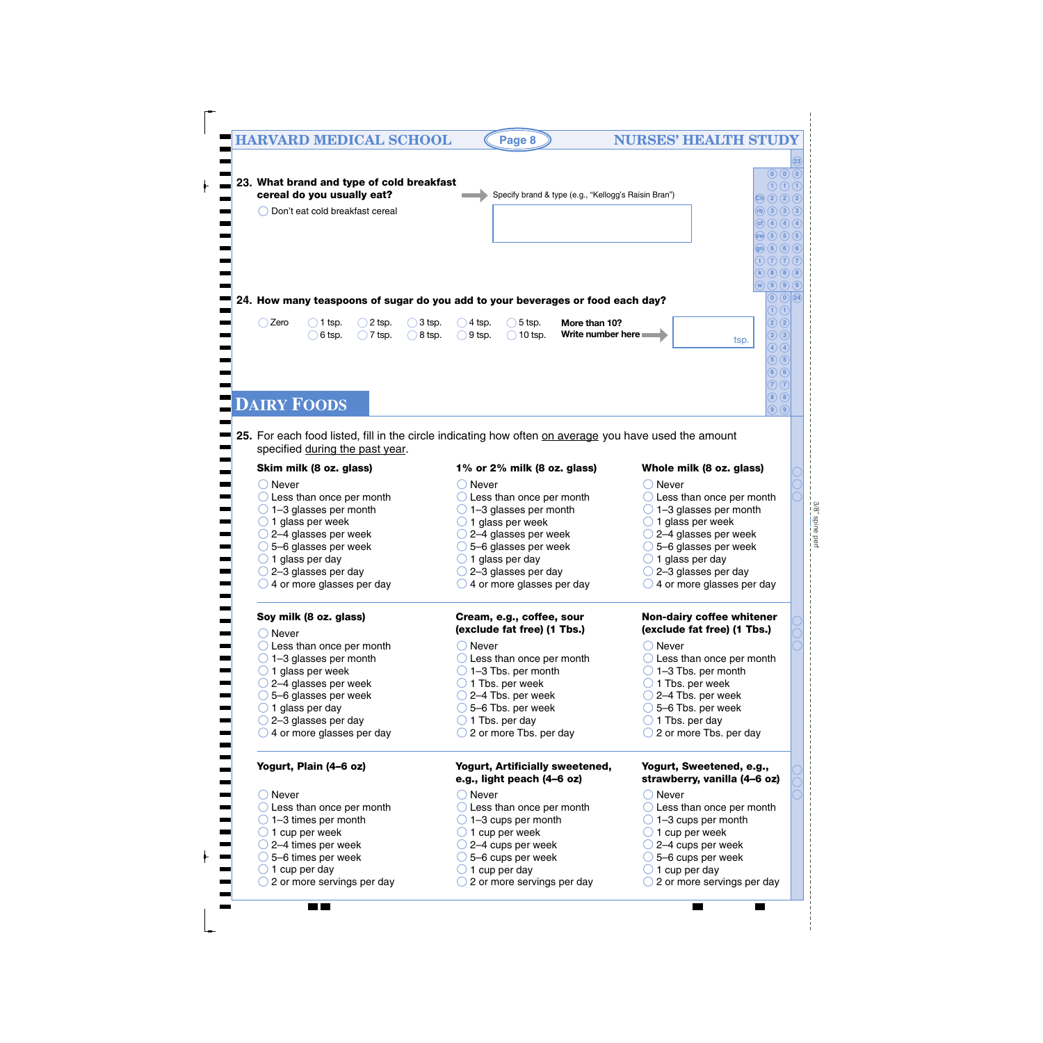# **HARVARD MEDICAL SCHOOL (Page 8) NURSES' HEALTH STUDY**

 $\overline{\phantom{a}}$ 

 $\overline{\phantom{a}}$ 

 $\blacksquare$ 

|                          |                                           |                  |                   |                       |                                                                                                       |               |                   |                  |                              |                                     |                                                                                                        | (23)                                |
|--------------------------|-------------------------------------------|------------------|-------------------|-----------------------|-------------------------------------------------------------------------------------------------------|---------------|-------------------|------------------|------------------------------|-------------------------------------|--------------------------------------------------------------------------------------------------------|-------------------------------------|
|                          |                                           |                  |                   |                       |                                                                                                       |               |                   |                  |                              |                                     |                                                                                                        |                                     |
|                          |                                           |                  |                   |                       |                                                                                                       |               |                   |                  |                              |                                     |                                                                                                        | $\odot$ $\odot$ $\odot$             |
|                          | 23. What brand and type of cold breakfast |                  |                   |                       |                                                                                                       |               |                   |                  |                              |                                     |                                                                                                        | $\bigcirc$ $\bigcirc$ $\bigcirc$    |
|                          | cereal do you usually eat?                |                  |                   |                       | Specify brand & type (e.g., "Kellogg's Raisin Bran")                                                  |               |                   |                  |                              |                                     | $\binom{c}{b}$ $\binom{2}{2}$ $\binom{2}{2}$                                                           |                                     |
|                          | Don't eat cold breakfast cereal           |                  |                   |                       |                                                                                                       |               |                   |                  |                              |                                     | (h)(3)(3)(3)                                                                                           |                                     |
|                          |                                           |                  |                   |                       |                                                                                                       |               |                   |                  |                              |                                     | (cf) (4) (4) (4)                                                                                       |                                     |
|                          |                                           |                  |                   |                       |                                                                                                       |               |                   |                  |                              |                                     |                                                                                                        |                                     |
|                          |                                           |                  |                   |                       |                                                                                                       |               |                   |                  |                              |                                     | $\left(\sup (5) (5) (5) \right)$                                                                       |                                     |
|                          |                                           |                  |                   |                       |                                                                                                       |               |                   |                  |                              |                                     | $\left( \mathsf{gn}\right) \left( \mathsf{6}\right) \left( \mathsf{6}\right) \left( \mathsf{6}\right)$ |                                     |
|                          |                                           |                  |                   |                       |                                                                                                       |               |                   |                  |                              |                                     |                                                                                                        | (t)(7)(7)(7)                        |
|                          |                                           |                  |                   |                       |                                                                                                       |               |                   |                  |                              |                                     |                                                                                                        | (k)(8)(8)(8)                        |
|                          |                                           |                  |                   |                       |                                                                                                       |               |                   |                  |                              |                                     |                                                                                                        |                                     |
|                          |                                           |                  |                   |                       |                                                                                                       |               |                   |                  |                              |                                     | $\left(\mathbf{w}\right)\left(\mathbf{9}\right)\left(\mathbf{9}\right)\left(\mathbf{9}\right)$         |                                     |
|                          |                                           |                  |                   |                       | 24. How many teaspoons of sugar do you add to your beverages or food each day?                        |               |                   |                  |                              |                                     |                                                                                                        | $(0)$ $(0)$ $(24)$                  |
|                          |                                           |                  |                   |                       |                                                                                                       |               |                   |                  |                              |                                     |                                                                                                        | D (T                                |
| $\bigcirc$ Zero          | 1 tsp.                                    | 2 tsp.           | 3 tsp.            | $\overline{)}$ 4 tsp. | $\bigcirc$ 5 tsp.                                                                                     | More than 10? |                   |                  |                              |                                     |                                                                                                        | $\mathbf{2}$ $\mathbf{2}$           |
|                          | 6 tsp.                                    | $\bigcap$ 7 tsp. | $\bigcirc$ 8 tsp. | $\bigcirc$ 9 tsp.     | $\bigcap$ 10 tsp.                                                                                     |               | Write number here |                  |                              |                                     |                                                                                                        | $\bigcirc$ $\bigcirc$               |
|                          |                                           |                  |                   |                       |                                                                                                       |               |                   |                  |                              | tsp.                                |                                                                                                        | $\bigcirc$ $\bigcirc$               |
|                          |                                           |                  |                   |                       |                                                                                                       |               |                   |                  |                              |                                     |                                                                                                        |                                     |
|                          |                                           |                  |                   |                       |                                                                                                       |               |                   |                  |                              |                                     |                                                                                                        | $\overline{5}$ $\overline{5}$       |
|                          |                                           |                  |                   |                       |                                                                                                       |               |                   |                  |                              |                                     |                                                                                                        | 6(6)                                |
|                          |                                           |                  |                   |                       |                                                                                                       |               |                   |                  |                              |                                     |                                                                                                        | F) (7                               |
|                          |                                           |                  |                   |                       |                                                                                                       |               |                   |                  |                              |                                     |                                                                                                        | $\bigcirc$ $\bigcirc$               |
|                          | <b>DAIRY FOODS</b>                        |                  |                   |                       |                                                                                                       |               |                   |                  |                              |                                     |                                                                                                        | $\left( 9\right)$ $\left( 9\right)$ |
|                          |                                           |                  |                   |                       |                                                                                                       |               |                   |                  |                              |                                     |                                                                                                        |                                     |
|                          |                                           |                  |                   |                       |                                                                                                       |               |                   |                  |                              |                                     |                                                                                                        |                                     |
|                          |                                           |                  |                   |                       | 25. For each food listed, fill in the circle indicating how often on average you have used the amount |               |                   |                  |                              |                                     |                                                                                                        |                                     |
|                          | specified during the past year.           |                  |                   |                       |                                                                                                       |               |                   |                  |                              |                                     |                                                                                                        |                                     |
|                          |                                           |                  |                   |                       |                                                                                                       |               |                   |                  |                              |                                     |                                                                                                        |                                     |
|                          | Skim milk (8 oz. glass)                   |                  |                   |                       | 1% or 2% milk (8 oz. glass)                                                                           |               |                   |                  |                              | Whole milk (8 oz. glass)            |                                                                                                        |                                     |
|                          |                                           |                  |                   |                       |                                                                                                       |               |                   |                  |                              |                                     |                                                                                                        |                                     |
| $\bigcirc$ Never         |                                           |                  |                   | $\bigcirc$ Never      |                                                                                                       |               |                   | $\bigcirc$ Never |                              |                                     |                                                                                                        |                                     |
|                          | $\bigcirc$ Less than once per month       |                  |                   |                       | $\bigcirc$ Less than once per month                                                                   |               |                   |                  |                              | $\bigcirc$ Less than once per month |                                                                                                        |                                     |
|                          |                                           |                  |                   |                       |                                                                                                       |               |                   |                  |                              |                                     |                                                                                                        |                                     |
|                          |                                           |                  |                   |                       |                                                                                                       |               |                   |                  |                              |                                     |                                                                                                        |                                     |
|                          | $\bigcirc$ 1-3 glasses per month          |                  |                   |                       | $\bigcirc$ 1–3 glasses per month                                                                      |               |                   |                  |                              | $\bigcirc$ 1-3 glasses per month    |                                                                                                        |                                     |
|                          | $\bigcirc$ 1 glass per week               |                  |                   |                       | $\bigcirc$ 1 glass per week                                                                           |               |                   |                  | $\bigcirc$ 1 glass per week  |                                     |                                                                                                        |                                     |
|                          | $\bigcirc$ 2–4 glasses per week           |                  |                   |                       | $\bigcirc$ 2–4 glasses per week                                                                       |               |                   |                  |                              | $\bigcirc$ 2–4 glasses per week     |                                                                                                        |                                     |
|                          | $\bigcirc$ 5–6 glasses per week           |                  |                   |                       | $\bigcirc$ 5–6 glasses per week                                                                       |               |                   |                  |                              | $\bigcirc$ 5–6 glasses per week     |                                                                                                        |                                     |
|                          | $\bigcirc$ 1 glass per day                |                  |                   |                       | $\bigcirc$ 1 glass per day                                                                            |               |                   |                  | $\bigcirc$ 1 glass per day   |                                     |                                                                                                        |                                     |
|                          |                                           |                  |                   |                       |                                                                                                       |               |                   |                  |                              |                                     |                                                                                                        |                                     |
|                          | $\bigcirc$ 2–3 glasses per day            |                  |                   |                       | $\bigcirc$ 2–3 glasses per day                                                                        |               |                   |                  |                              | $\bigcirc$ 2-3 glasses per day      |                                                                                                        |                                     |
|                          | $\bigcirc$ 4 or more glasses per day      |                  |                   |                       | $\bigcirc$ 4 or more glasses per day                                                                  |               |                   |                  |                              | 4 or more glasses per day           |                                                                                                        |                                     |
|                          |                                           |                  |                   |                       |                                                                                                       |               |                   |                  |                              |                                     |                                                                                                        |                                     |
|                          |                                           |                  |                   |                       |                                                                                                       |               |                   |                  |                              |                                     |                                                                                                        |                                     |
|                          | Soy milk (8 oz. glass)                    |                  |                   |                       | Cream, e.g., coffee, sour                                                                             |               |                   |                  |                              | Non-dairy coffee whitener           |                                                                                                        |                                     |
|                          |                                           |                  |                   |                       | (exclude fat free) (1 Tbs.)                                                                           |               |                   |                  |                              | (exclude fat free) (1 Tbs.)         |                                                                                                        |                                     |
| $\bigcirc$ Never         |                                           |                  |                   |                       |                                                                                                       |               |                   |                  |                              |                                     |                                                                                                        |                                     |
|                          | $\bigcirc$ Less than once per month       |                  |                   | $\bigcirc$ Never      |                                                                                                       |               |                   | $\bigcirc$ Never |                              |                                     |                                                                                                        |                                     |
|                          | $\bigcirc$ 1-3 glasses per month          |                  |                   |                       | $\bigcirc$ Less than once per month                                                                   |               |                   |                  |                              | $\bigcirc$ Less than once per month |                                                                                                        |                                     |
|                          | $\bigcirc$ 1 glass per week               |                  |                   |                       | $\bigcirc$ 1-3 Tbs. per month                                                                         |               |                   |                  |                              | $\bigcirc$ 1-3 Tbs. per month       |                                                                                                        |                                     |
|                          | $\bigcirc$ 2–4 glasses per week           |                  |                   |                       | $\bigcirc$ 1 Tbs. per week                                                                            |               |                   |                  | $\bigcirc$ 1 Tbs. per week   |                                     |                                                                                                        |                                     |
|                          |                                           |                  |                   |                       |                                                                                                       |               |                   |                  |                              |                                     |                                                                                                        |                                     |
|                          | $\bigcirc$ 5–6 glasses per week           |                  |                   |                       | $\bigcirc$ 2-4 Tbs. per week                                                                          |               |                   |                  | $\bigcirc$ 2-4 Tbs. per week |                                     |                                                                                                        |                                     |
|                          | $\bigcirc$ 1 glass per day                |                  |                   |                       | $\bigcirc$ 5–6 Tbs. per week                                                                          |               |                   |                  | $\bigcirc$ 5-6 Tbs. per week |                                     |                                                                                                        |                                     |
|                          | $\bigcirc$ 2-3 glasses per day            |                  |                   |                       | $\bigcirc$ 1 Tbs. per day                                                                             |               |                   |                  | $\bigcirc$ 1 Tbs. per day    |                                     |                                                                                                        |                                     |
|                          | $\bigcirc$ 4 or more glasses per day      |                  |                   |                       | $\bigcirc$ 2 or more Tbs. per day                                                                     |               |                   | $\bigcirc$       |                              | 2 or more Tbs. per day              |                                                                                                        |                                     |
|                          |                                           |                  |                   |                       |                                                                                                       |               |                   |                  |                              |                                     |                                                                                                        |                                     |
|                          |                                           |                  |                   |                       |                                                                                                       |               |                   |                  |                              |                                     |                                                                                                        |                                     |
|                          |                                           |                  |                   |                       |                                                                                                       |               |                   |                  |                              |                                     |                                                                                                        |                                     |
|                          | Yogurt, Plain (4-6 oz)                    |                  |                   |                       | Yogurt, Artificially sweetened,                                                                       |               |                   |                  |                              | Yogurt, Sweetened, e.g.,            |                                                                                                        |                                     |
|                          |                                           |                  |                   |                       | e.g., light peach (4-6 oz)                                                                            |               |                   |                  |                              | strawberry, vanilla (4-6 oz)        |                                                                                                        |                                     |
| ◯ Never                  |                                           |                  |                   | $\bigcirc$ Never      |                                                                                                       |               |                   | $\bigcirc$ Never |                              |                                     |                                                                                                        |                                     |
|                          |                                           |                  |                   |                       |                                                                                                       |               |                   |                  |                              |                                     |                                                                                                        |                                     |
|                          | $\bigcirc$ Less than once per month       |                  |                   |                       | $\bigcirc$ Less than once per month                                                                   |               |                   |                  |                              | $\bigcirc$ Less than once per month |                                                                                                        |                                     |
|                          | $\bigcirc$ 1–3 times per month            |                  |                   |                       | $\bigcirc$ 1-3 cups per month                                                                         |               |                   |                  |                              | $\bigcirc$ 1-3 cups per month       |                                                                                                        |                                     |
|                          | $\bigcirc$ 1 cup per week                 |                  |                   |                       | $\bigcirc$ 1 cup per week                                                                             |               |                   |                  | $\bigcirc$ 1 cup per week    |                                     |                                                                                                        |                                     |
|                          |                                           |                  |                   |                       |                                                                                                       |               |                   |                  |                              |                                     |                                                                                                        |                                     |
|                          | $\bigcirc$ 2–4 times per week             |                  |                   |                       | 2-4 cups per week                                                                                     |               |                   |                  | $\bigcirc$ 2–4 cups per week |                                     |                                                                                                        |                                     |
|                          | $\bigcirc$ 5–6 times per week             |                  |                   |                       | $\overline{\phantom{1}}$ 5–6 cups per week                                                            |               |                   |                  | $\bigcirc$ 5–6 cups per week |                                     |                                                                                                        |                                     |
| $\bigcirc$ 1 cup per day | $\bigcirc$ 2 or more servings per day     |                  |                   |                       | $\bigcirc$ 1 cup per day<br>2 or more servings per day                                                |               |                   |                  | $\bigcirc$ 1 cup per day     | 2 or more servings per day          |                                                                                                        |                                     |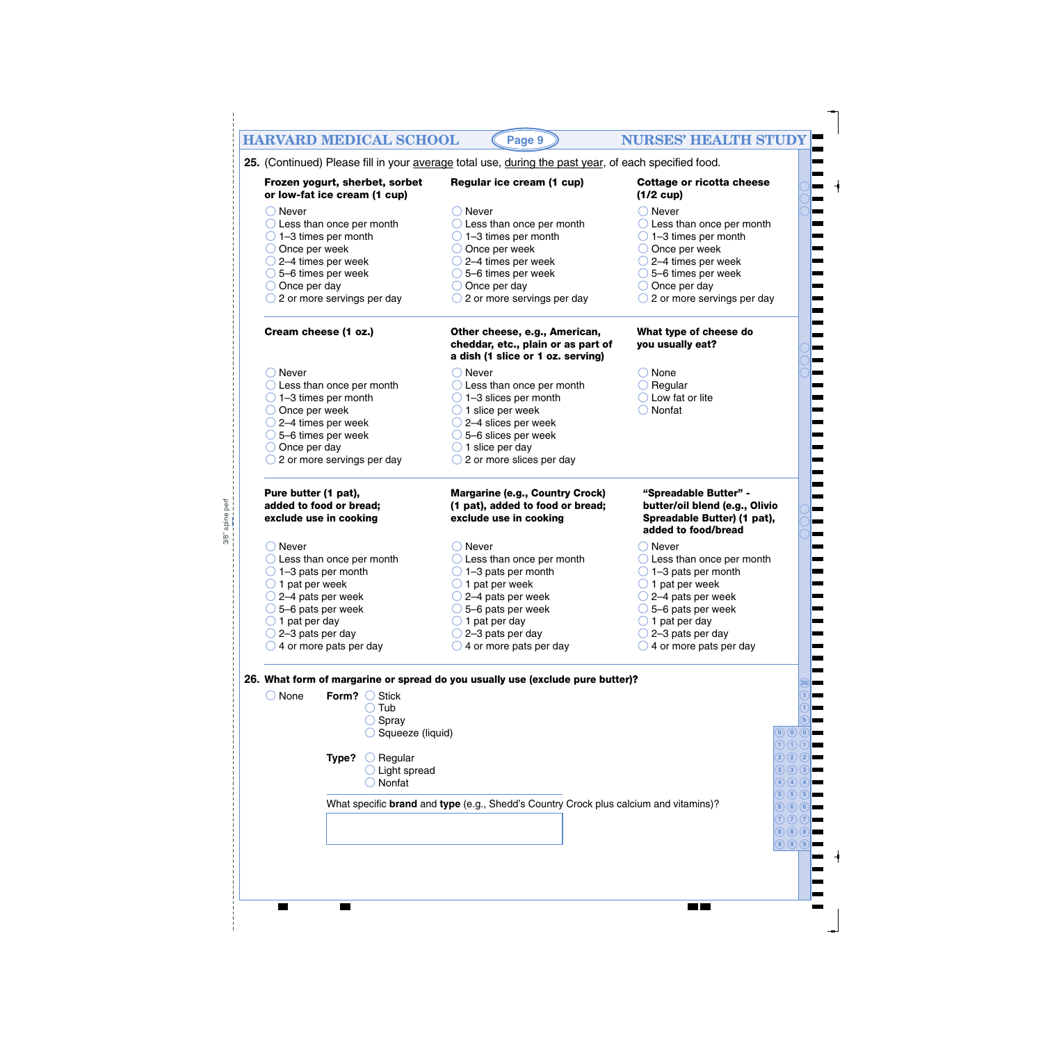| Frozen yogurt, sherbet, sorbet                                            | 25. (Continued) Please fill in your average total use, during the past year, of each specified food.<br>Regular ice cream (1 cup) | <b>Cottage or ricotta cheese</b>                                                       |
|---------------------------------------------------------------------------|-----------------------------------------------------------------------------------------------------------------------------------|----------------------------------------------------------------------------------------|
| or low-fat ice cream (1 cup)                                              |                                                                                                                                   | $(1/2 \text{ cup})$                                                                    |
| Never                                                                     | $\bigcirc$ Never                                                                                                                  | $\bigcirc$ Never                                                                       |
| $\bigcirc$ Less than once per month                                       | $\bigcirc$ Less than once per month                                                                                               | $\bigcirc$ Less than once per month                                                    |
| $\bigcirc$ 1-3 times per month                                            | $\bigcirc$ 1-3 times per month                                                                                                    | $\bigcirc$ 1-3 times per month                                                         |
| $\bigcirc$ Once per week                                                  | $\bigcirc$ Once per week<br>$\bigcirc$ 2–4 times per week                                                                         | $\bigcirc$ Once per week                                                               |
| $\bigcirc$ 2–4 times per week<br>$\bigcirc$ 5–6 times per week            | $\bigcirc$ 5–6 times per week                                                                                                     | $\bigcirc$ 2–4 times per week<br>$\bigcirc$ 5–6 times per week                         |
| $\bigcirc$ Once per day                                                   | $\bigcirc$ Once per day                                                                                                           | $\bigcirc$ Once per day                                                                |
| $\bigcirc$ 2 or more servings per day                                     | $\bigcirc$ 2 or more servings per day                                                                                             | $\bigcirc$ 2 or more servings per day                                                  |
| Cream cheese (1 oz.)                                                      | Other cheese, e.g., American,                                                                                                     | What type of cheese do                                                                 |
|                                                                           | cheddar, etc., plain or as part of<br>a dish (1 slice or 1 oz. serving)                                                           | you usually eat?                                                                       |
| Never                                                                     | $\bigcirc$ Never                                                                                                                  | $\bigcirc$ None                                                                        |
| $\bigcirc$ Less than once per month                                       | $\bigcirc$ Less than once per month                                                                                               | $\bigcirc$ Regular                                                                     |
| $\bigcirc$ 1-3 times per month                                            | $\bigcirc$ 1-3 slices per month                                                                                                   | $\bigcirc$ Low fat or lite                                                             |
| $\bigcirc$ Once per week                                                  | $\bigcirc$ 1 slice per week                                                                                                       | Nonfat<br>$( \ )$                                                                      |
| $\bigcirc$ 2–4 times per week<br>$\bigcirc$ 5–6 times per week            | $\bigcirc$ 2–4 slices per week<br>$\bigcirc$ 5–6 slices per week                                                                  |                                                                                        |
| $\bigcirc$ Once per day                                                   | $\bigcirc$ 1 slice per day                                                                                                        |                                                                                        |
| $\bigcirc$ 2 or more servings per day                                     | $\bigcirc$ 2 or more slices per day                                                                                               |                                                                                        |
| Pure butter (1 pat),<br>added to food or bread;<br>exclude use in cooking | <b>Margarine (e.g., Country Crock)</b><br>(1 pat), added to food or bread;<br>exclude use in cooking                              | "Spreadable Butter" -<br>butter/oil blend (e.g., Olivio<br>Spreadable Butter) (1 pat), |
|                                                                           |                                                                                                                                   | added to food/bread                                                                    |
| Never                                                                     | $\bigcirc$ Never                                                                                                                  | $\bigcirc$ Never                                                                       |
| $\bigcirc$ Less than once per month                                       | $\bigcirc$ Less than once per month                                                                                               | $\bigcirc$ Less than once per month                                                    |
| 1-3 pats per month<br>$\bigcirc$ 1 pat per week                           | 1-3 pats per month<br>$\bigcirc$ 1 pat per week                                                                                   | $\bigcirc$ 1–3 pats per month<br>$\bigcirc$ 1 pat per week                             |
| $\bigcirc$ 2–4 pats per week                                              | $\bigcirc$ 2–4 pats per week                                                                                                      | $\bigcirc$ 2–4 pats per week                                                           |
| $\bigcirc$ 5–6 pats per week                                              | $\bigcirc$ 5–6 pats per week                                                                                                      | $\bigcirc$ 5–6 pats per week                                                           |
| $\bigcirc$ 1 pat per day                                                  | $\bigcirc$ 1 pat per day                                                                                                          | $\bigcirc$ 1 pat per day                                                               |
| $\bigcirc$ 2–3 pats per day                                               | $\bigcirc$ 2-3 pats per day                                                                                                       | $\bigcirc$ 2–3 pats per day                                                            |
| $\bigcirc$ 4 or more pats per day                                         | $\bigcirc$ 4 or more pats per day                                                                                                 | $\bigcirc$ 4 or more pats per day                                                      |
|                                                                           | 26. What form of margarine or spread do you usually use (exclude pure butter)?                                                    |                                                                                        |
| $\bigcirc$ None<br>Form? $\bigcirc$ Stick                                 |                                                                                                                                   |                                                                                        |
| $\bigcirc$ Tub                                                            |                                                                                                                                   |                                                                                        |
| $\bigcirc$ Spray                                                          |                                                                                                                                   | $\left( 0\right) 0\right) 0$                                                           |
| $\bigcirc$ Squeeze (liquid)                                               |                                                                                                                                   | 1) $(1)(1)$                                                                            |
| $\bigcirc$ Regular<br>Type?                                               |                                                                                                                                   | (2)(2)(2)                                                                              |
| $\bigcirc$ Light spread                                                   |                                                                                                                                   | (3)(3)(3)                                                                              |
| Nonfat                                                                    |                                                                                                                                   | 4 $(4)(4)$                                                                             |
|                                                                           | What specific <b>brand</b> and type (e.g., Shedd's Country Crock plus calcium and vitamins)?                                      | (5)(5)(5)                                                                              |
|                                                                           |                                                                                                                                   | (6)(6)(6)                                                                              |
|                                                                           |                                                                                                                                   | (7)(7)(7)<br>(8)(8)(8)                                                                 |
|                                                                           |                                                                                                                                   | $\left( 9\right) \left( 9\right) \left( 9\right)$                                      |
|                                                                           |                                                                                                                                   |                                                                                        |

3/8" spine perf

 $3/8"$  spine perf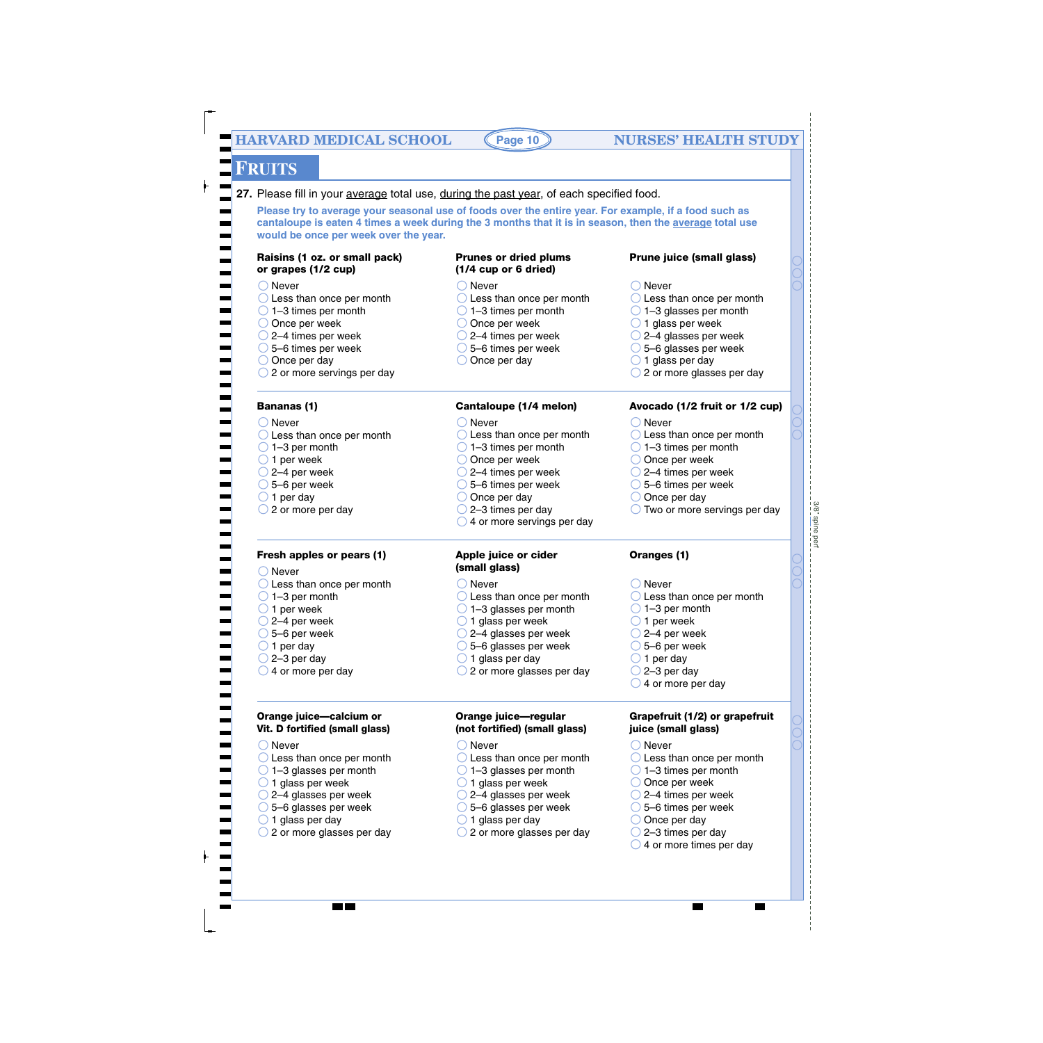**Page 10**

# **FRUITS**

◯ Never

**Bananas (1)** ◯ Never

 $\bigcirc$  1–3 per month  $\bigcirc$  1 per week  $\bigcirc$  2–4 per week  $\bigcirc$  5–6 per week  $\bigcirc$  1 per day

 $\bigcirc$  2 or more per day

27. Please fill in your average total use, during the past year, of each specified food.

**Please try to average your seasonal use of foods over the entire year. For example, if a food such as cantaloupe is eaten 4 times a week during the 3 months that it is in season, then the average total use would be once per week over the year.**

#### **Raisins (1 oz. or small pack) or grapes (1/2 cup)**

◯ Less than once per month  $\bigcirc$  1–3 times per month O Once per week  $\bigcirc$  2–4 times per week 5–6 times per week  $\bigcirc$  Once per day

◯ 2 or more servings per day

◯ Less than once per month

**Fresh apples or pears (1)**

◯ Less than once per month  $\bigcirc$  1–3 glasses per month  $\bigcirc$  1 glass per week  $\bigcirc$  2–4 glasses per week 5–6 glasses per week  $\bigcirc$  1 glass per day

**Orange juice—calcium or Vit. D fortified (small glass)**

 $\bigcirc$  2 or more glasses per day

 $\bigcirc$  Never

 $\bigcirc$  1 per day

◯ Never

#### **Prunes or dried plums (1/4 cup or 6 dried)**

 $\bigcirc$  1–3 times per month O Once per week  $\bigcirc$  2–4 times per week 5–6 times per week  $\bigcirc$  Once per day

◯ Less than once per month  $\bigcirc$  1–3 times per month O Once per week  $\bigcirc$  2–4 times per week 5–6 times per week  $\bigcirc$  Once per day  $\bigcirc$  2–3 times per day

**Cantaloupe (1/4 melon)**

 $\bigcirc$  4 or more servings per day

**Apple juice or cider**

◯ Never

◯ Never

- **Prune juice (small glass)**
- ◯ Never
- ◯ Less than once per month ◯ Less than once per month  $\bigcirc$  1–3 glasses per month  $\bigcirc$  1 glass per week  $\bigcirc$  2–4 glasses per week 5–6 glasses per week  $\bigcirc$  1 glass per day ◯ 2 or more glasses per day

#### **Avocado (1/2 fruit or 1/2 cup)**

◯ Never

◯ Never

- ◯ Less than once per month
- $\bigcirc$  1–3 times per month
- O Once per week
- 2–4 times per week
- 5–6 times per week
- $\bigcirc$  Once per day

 $\bigcirc$  1–3 per month  $\bigcirc$  1 per week  $\bigcirc$  2–4 per week  $\bigcirc$  5–6 per week  $\bigcirc$  1 per day  $\bigcirc$  2–3 per day  $\bigcirc$  4 or more per day

 $\bigcirc$  Two or more servings per day

 $3/8"$  spine per 3/8" spine perf

◯ Less than once per month

#### **Oranges (1)**

◯ Never ◯ Less than once per month  $\bigcirc$  1–3 glasses per month  $\bigcirc$  1 glass per week 2–4 glasses per week 5–6 glasses per week  $\bigcirc$  1 glass per day ◯ 2 or more glasses per day **(small glass)** ◯ Less than once per month  $\bigcirc$  1–3 per month  $\bigcirc$  1 per week  $\bigcirc$  2–4 per week  $\bigcirc$  5–6 per week  $\bigcirc$  2–3 per day  $\bigcirc$  4 or more per day

#### **Orange juice—regular (not fortified) (small glass)**

- ◯ Never
- O Less than once per month
- $\bigcirc$  1–3 glasses per month
- $\bigcirc$  1 glass per week
- $\bigcirc$  2–4 glasses per week
- 5–6 glasses per week
- $\bigcirc$  1 glass per day
- $\bigcirc$  2 or more glasses per day

#### **Grapefruit (1/2) or grapefruit juice (small glass)**

- ◯ Never
- ◯ Less than once per month
- $\bigcirc$  1–3 times per month
- O Once per week
- 2–4 times per week
- 5–6 times per week
- $\bigcirc$  Once per day
- $\bigcirc$  2–3 times per day  $\bigcirc$  4 or more times per day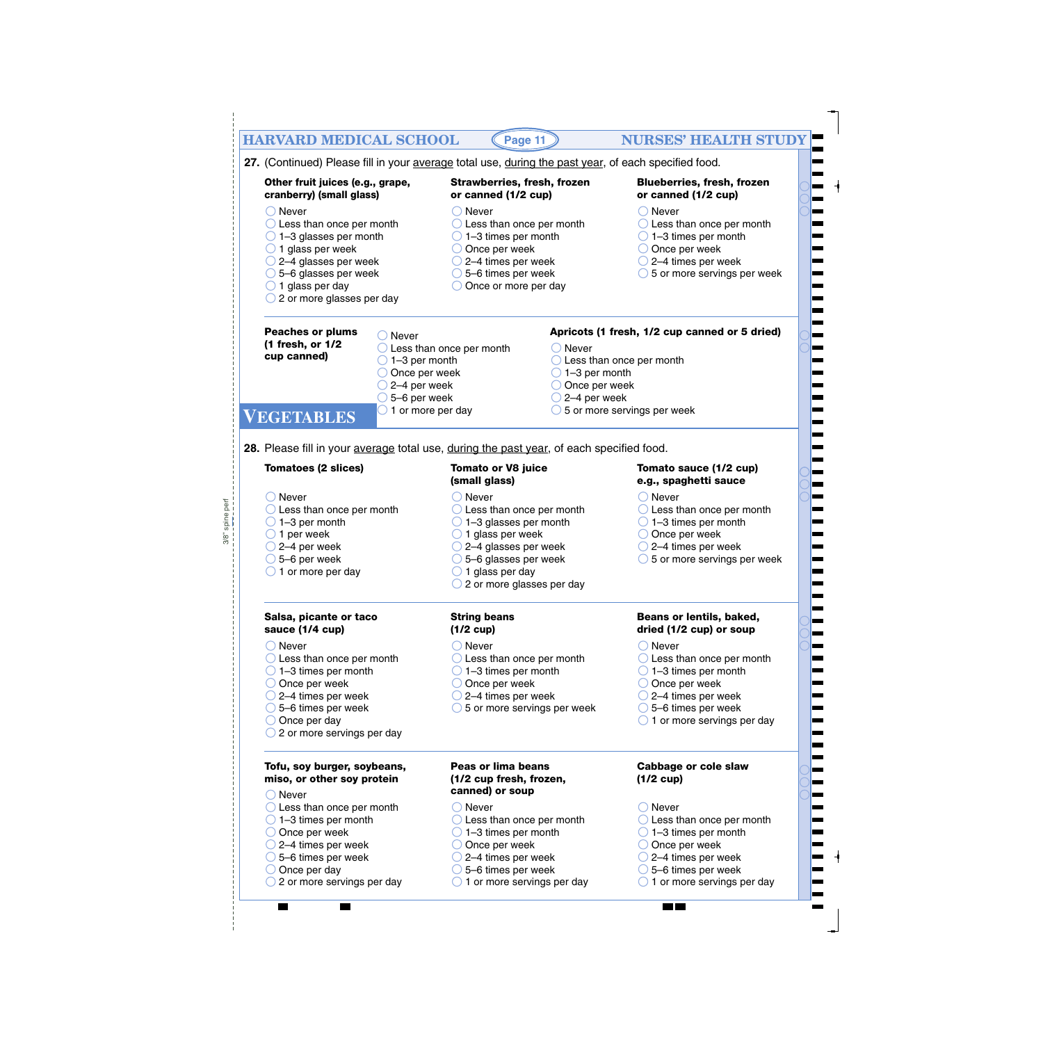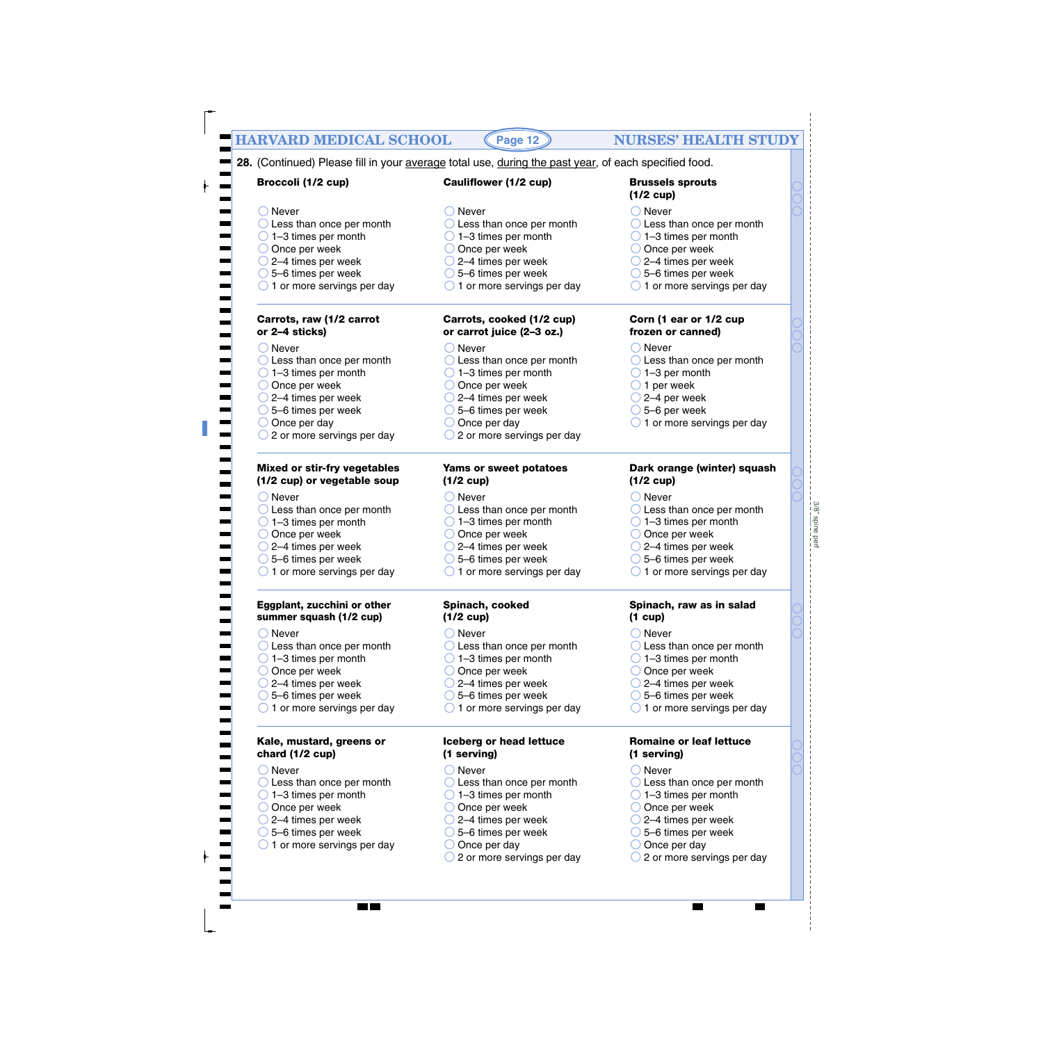|                                                                        | 28. (Continued) Please fill in your average total use, during the past year, of each specified food. |                                                                        |
|------------------------------------------------------------------------|------------------------------------------------------------------------------------------------------|------------------------------------------------------------------------|
| Broccoli (1/2 cup)                                                     | <b>Cauliflower (1/2 cup)</b>                                                                         | <b>Brussels sprouts</b><br>$(1/2$ cup)                                 |
| ( ) Never                                                              | $\bigcirc$ Never                                                                                     | $\bigcirc$ Never                                                       |
| $\bigcirc$ Less than once per month                                    | $\bigcirc$ Less than once per month                                                                  | $\bigcirc$ Less than once per month                                    |
| $\bigcirc$ 1-3 times per month                                         | $\bigcirc$ 1–3 times per month                                                                       | $\bigcirc$ 1-3 times per month                                         |
| $\bigcirc$ Once per week                                               | $\bigcirc$ Once per week                                                                             | $\bigcirc$ Once per week                                               |
| $\bigcirc$ 2–4 times per week                                          | $\bigcirc$ 2–4 times per week                                                                        | $\bigcirc$ 2–4 times per week                                          |
| $\bigcirc$ 5-6 times per week                                          | $\bigcirc$ 5-6 times per week                                                                        | $\bigcirc$ 5-6 times per week                                          |
| $\bigcirc$ 1 or more servings per day                                  | $\bigcirc$ 1 or more servings per day                                                                | $\bigcirc$ 1 or more servings per day                                  |
| Carrots, raw (1/2 carrot<br>or 2-4 sticks)                             | Carrots, cooked (1/2 cup)<br>or carrot juice (2-3 oz.)                                               | Corn (1 ear or 1/2 cup<br>frozen or canned)                            |
| $\bigcirc$ Never                                                       | $\bigcirc$ Never                                                                                     | $\bigcirc$ Never                                                       |
| $\bigcirc$ Less than once per month                                    | $\bigcirc$ Less than once per month                                                                  | $\bigcirc$ Less than once per month                                    |
| $\bigcirc$ 1-3 times per month                                         | $\bigcirc$ 1-3 times per month                                                                       | $\bigcirc$ 1-3 per month                                               |
| $\bigcirc$ Once per week                                               | O Once per week                                                                                      | $\bigcirc$ 1 per week                                                  |
| $\bigcirc$ 2–4 times per week                                          | $\bigcirc$ 2–4 times per week                                                                        | $\bigcirc$ 2–4 per week                                                |
| $\bigcirc$ 5–6 times per week                                          | $\bigcirc$ 5–6 times per week                                                                        | $\bigcirc$ 5-6 per week                                                |
| $\bigcirc$ Once per day                                                | $\bigcirc$ Once per day                                                                              | $\bigcirc$ 1 or more servings per day                                  |
| $\bigcirc$ 2 or more servings per day                                  | $\bigcirc$ 2 or more servings per day                                                                |                                                                        |
| <b>Mixed or stir-fry vegetables</b><br>(1/2 cup) or vegetable soup     | Yams or sweet potatoes<br>$(1/2$ cup)                                                                | Dark orange (winter) squash<br>$(1/2$ cup)                             |
|                                                                        |                                                                                                      |                                                                        |
| $\bigcirc$ Never                                                       | $\bigcirc$ Never                                                                                     | $\bigcirc$ Never                                                       |
| $\bigcirc$ Less than once per month                                    | $\bigcirc$ Less than once per month                                                                  | $\bigcirc$ Less than once per month                                    |
| $\bigcirc$ 1-3 times per month                                         | $\bigcirc$ 1-3 times per month                                                                       | $\bigcirc$ 1-3 times per month                                         |
| $\bigcirc$ Once per week                                               | $\bigcirc$ Once per week                                                                             | $\bigcirc$ Once per week                                               |
| $\bigcirc$ 2–4 times per week                                          | $\bigcirc$ 2–4 times per week                                                                        | $\bigcirc$ 2–4 times per week                                          |
| $\bigcirc$ 5-6 times per week<br>$\bigcirc$ 1 or more servings per day | $\bigcirc$ 5-6 times per week<br>$\bigcirc$ 1 or more servings per day                               | $\bigcirc$ 5-6 times per week<br>$\bigcirc$ 1 or more servings per day |
| Eggplant, zucchini or other                                            | Spinach, cooked                                                                                      | Spinach, raw as in salad                                               |
| summer squash (1/2 cup)                                                | $(1/2 \text{ cup})$                                                                                  | $(1 \text{ cup})$                                                      |
|                                                                        |                                                                                                      |                                                                        |
| $\bigcirc$ Never                                                       | $\bigcirc$ Never                                                                                     | $\bigcirc$ Never                                                       |
| $\bigcirc$ Less than once per month                                    | $\bigcirc$ Less than once per month                                                                  | $\bigcirc$ Less than once per month                                    |
| $\bigcirc$ 1-3 times per month<br>$\bigcirc$ Once per week             | $\bigcirc$ 1-3 times per month<br>$\bigcirc$ Once per week                                           | $\bigcirc$ 1-3 times per month<br>Once per week                        |
| $\bigcirc$ 2–4 times per week                                          | $\bigcirc$ 2–4 times per week                                                                        | $\bigcirc$ 2–4 times per week                                          |
| $\bigcirc$ 5-6 times per week                                          | $\bigcirc$ 5–6 times per week                                                                        | 5-6 times per week                                                     |
| $\bigcirc$ 1 or more servings per day                                  | $\bigcirc$ 1 or more servings per day                                                                | $\bigcirc$ 1 or more servings per day                                  |
| Kale, mustard, greens or                                               | Iceberg or head lettuce                                                                              | <b>Romaine or leaf lettuce</b>                                         |
| chard (1/2 cup)                                                        | (1 serving)                                                                                          | (1 serving)                                                            |
| $\bigcirc$ Never                                                       | ◯ Never                                                                                              | Never                                                                  |
| $\bigcirc$ Less than once per month                                    | $\bigcirc$ Less than once per month                                                                  | $\bigcirc$ Less than once per month                                    |
| $\bigcirc$ 1-3 times per month                                         | $\bigcirc$ 1–3 times per month                                                                       | $\bigcirc$ 1–3 times per month                                         |
| $\bigcirc$ Once per week                                               | $\bigcirc$ Once per week                                                                             | Once per week                                                          |
| $\bigcirc$ 2–4 times per week                                          | $\bigcirc$ 2–4 times per week                                                                        | $\bigcirc$ 2–4 times per week                                          |
| $\bigcirc$ 5–6 times per week                                          | $\bigcirc$ 5-6 times per week                                                                        | $\bigcirc$ 5–6 times per week                                          |
| $\bigcirc$ 1 or more servings per day                                  | $\bigcirc$ Once per day                                                                              | Once per day                                                           |
|                                                                        | $\bigcirc$ 2 or more servings per day                                                                | 2 or more servings per day                                             |
|                                                                        |                                                                                                      |                                                                        |

- $\overline{\bigcirc}$  5–6 times per week
- $\bigcirc$  1 or more servings per day

- Once per week
- 2–4 times per week
- 5–6 times per week
- Once per day
- 2 or more servings per day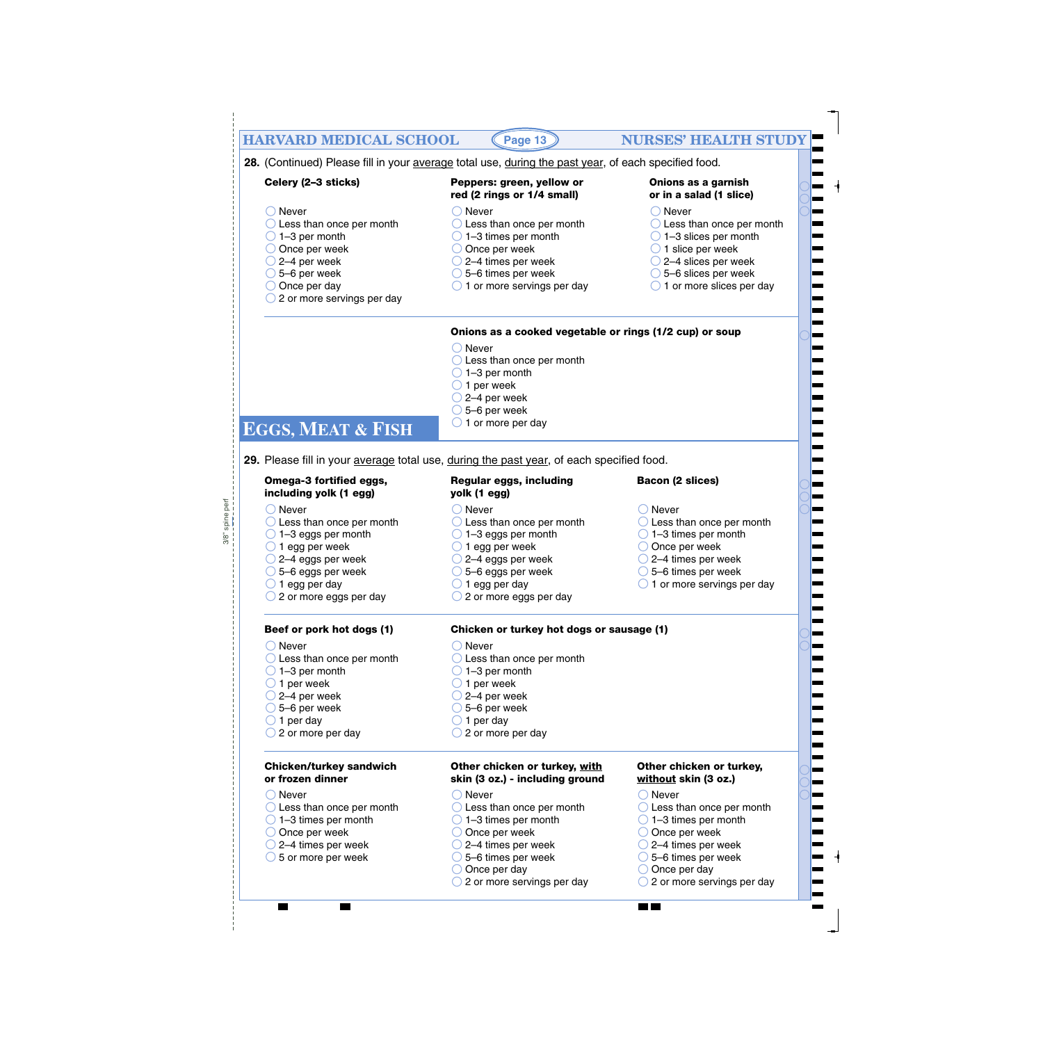| <b>HARVARD MEDICAL SCHOOL</b>                                                                                                                                                                                                               | Page 13                                                                                                                                                                                                                                                | <b>NURSES' HEALTH STUD</b>                                                                                                                                                                                                                                  |
|---------------------------------------------------------------------------------------------------------------------------------------------------------------------------------------------------------------------------------------------|--------------------------------------------------------------------------------------------------------------------------------------------------------------------------------------------------------------------------------------------------------|-------------------------------------------------------------------------------------------------------------------------------------------------------------------------------------------------------------------------------------------------------------|
|                                                                                                                                                                                                                                             | 28. (Continued) Please fill in your average total use, during the past year, of each specified food.                                                                                                                                                   |                                                                                                                                                                                                                                                             |
| Celery (2-3 sticks)                                                                                                                                                                                                                         | Peppers: green, yellow or<br>red (2 rings or 1/4 small)                                                                                                                                                                                                | Onions as a garnish<br>or in a salad (1 slice)                                                                                                                                                                                                              |
| $\bigcirc$ Never<br>$\bigcirc$ Less than once per month<br>$\bigcirc$ 1-3 per month<br>$\bigcirc$ Once per week                                                                                                                             | $\bigcirc$ Never<br>$\bigcirc$ Less than once per month<br>$\bigcirc$ 1–3 times per month<br>$\bigcirc$ Once per week                                                                                                                                  | $\bigcirc$ Never<br>$\bigcirc$ Less than once per month<br>$\bigcirc$ 1-3 slices per month<br>$\bigcirc$ 1 slice per week                                                                                                                                   |
| $\bigcirc$ 2–4 per week<br>$\bigcirc$ 5–6 per week<br>$\bigcirc$ Once per day<br>$\bigcirc$ 2 or more servings per day                                                                                                                      | $\bigcirc$ 2–4 times per week<br>$\bigcirc$ 5–6 times per week<br>$\bigcirc$ 1 or more servings per day                                                                                                                                                | $\bigcirc$ 2–4 slices per week<br>$\bigcirc$ 5–6 slices per week<br>$\bigcirc$ 1 or more slices per day                                                                                                                                                     |
|                                                                                                                                                                                                                                             | Onions as a cooked vegetable or rings (1/2 cup) or soup                                                                                                                                                                                                |                                                                                                                                                                                                                                                             |
| <b>EGGS, MEAT &amp; FISH</b>                                                                                                                                                                                                                | $\bigcirc$ Never<br>$\bigcirc$ Less than once per month<br>$\bigcirc$ 1-3 per month<br>$\bigcirc$ 1 per week<br>$\bigcirc$ 2–4 per week<br>$\bigcirc$ 5–6 per week<br>$\bigcirc$ 1 or more per day                                                     |                                                                                                                                                                                                                                                             |
|                                                                                                                                                                                                                                             | 29. Please fill in your average total use, during the past year, of each specified food.                                                                                                                                                               |                                                                                                                                                                                                                                                             |
| Omega-3 fortified eggs,<br>including yolk (1 egg)                                                                                                                                                                                           | <b>Regular eggs, including</b><br>yolk (1 egg)                                                                                                                                                                                                         | <b>Bacon (2 slices)</b>                                                                                                                                                                                                                                     |
| $\bigcirc$ Never<br>$\bigcirc$ Less than once per month<br>$\bigcirc$ 1-3 eggs per month<br>$\bigcirc$ 1 egg per week<br>$\bigcirc$ 2–4 eggs per week<br>$\bigcirc$ 5–6 eggs per week<br>$\bigcirc$ 1 egg per day<br>2 or more eggs per day | $\bigcirc$ Never<br>$\bigcirc$ Less than once per month<br>$\bigcirc$ 1-3 eggs per month<br>$\bigcirc$ 1 egg per week<br>$\bigcirc$ 2–4 eggs per week<br>$\bigcirc$ 5–6 eggs per week<br>$\bigcirc$ 1 egg per day<br>$\bigcirc$ 2 or more eggs per day | $\bigcirc$ Never<br>$\bigcirc$ Less than once per month<br>$\bigcirc$ 1-3 times per month<br>$\bigcirc$ Once per week<br>$\bigcirc$ 2–4 times per week<br>$\bigcirc$ 5–6 times per week<br>$\bigcirc$ 1 or more servings per day                            |
| Beef or pork hot dogs (1)                                                                                                                                                                                                                   | Chicken or turkey hot dogs or sausage (1)                                                                                                                                                                                                              |                                                                                                                                                                                                                                                             |
| $\bigcirc$ Never<br>$\bigcirc$ Less than once per month<br>$\bigcirc$ 1-3 per month<br>$\bigcirc$ 1 per week<br>$\bigcirc$ 2–4 per week<br>$\bigcirc$ 5–6 per week<br>$\bigcirc$ 1 per day<br>$\bigcirc$ 2 or more per day                  | $\bigcirc$ Never<br>$\bigcirc$ Less than once per month<br>$\bigcirc$ 1-3 per month<br>$\bigcirc$ 1 per week<br>$\bigcirc$ 2–4 per week<br>$\bigcirc$ 5–6 per week<br>$\bigcirc$ 1 per day<br>2 or more per day                                        |                                                                                                                                                                                                                                                             |
| <b>Chicken/turkey sandwich</b><br>or frozen dinner                                                                                                                                                                                          | Other chicken or turkey, with<br>skin (3 oz.) - including ground                                                                                                                                                                                       | Other chicken or turkey,<br>without skin (3 oz.)                                                                                                                                                                                                            |
| $\bigcirc$ Never<br>$\bigcirc$ Less than once per month<br>$\bigcirc$ 1-3 times per month<br>$\bigcirc$ Once per week<br>$\bigcirc$ 2–4 times per week<br>$\bigcirc$ 5 or more per week                                                     | $\bigcirc$ Never<br>$\bigcirc$ Less than once per month<br>$\bigcirc$ 1–3 times per month<br>$\bigcirc$ Once per week<br>$\bigcirc$ 2–4 times per week<br>$\bigcirc$ 5–6 times per week<br>$\bigcirc$ Once per day<br>2 or more servings per day       | $\bigcirc$ Never<br>$\bigcirc$ Less than once per month<br>$\bigcirc$ 1-3 times per month<br>$\bigcirc$ Once per week<br>$\bigcirc$ 2–4 times per week<br>$\bigcirc$ 5–6 times per week<br>$\bigcirc$ Once per day<br>$\bigcirc$ 2 or more servings per day |
|                                                                                                                                                                                                                                             |                                                                                                                                                                                                                                                        | a ka                                                                                                                                                                                                                                                        |

 $3/8$ " spine perf 3/8" spine perf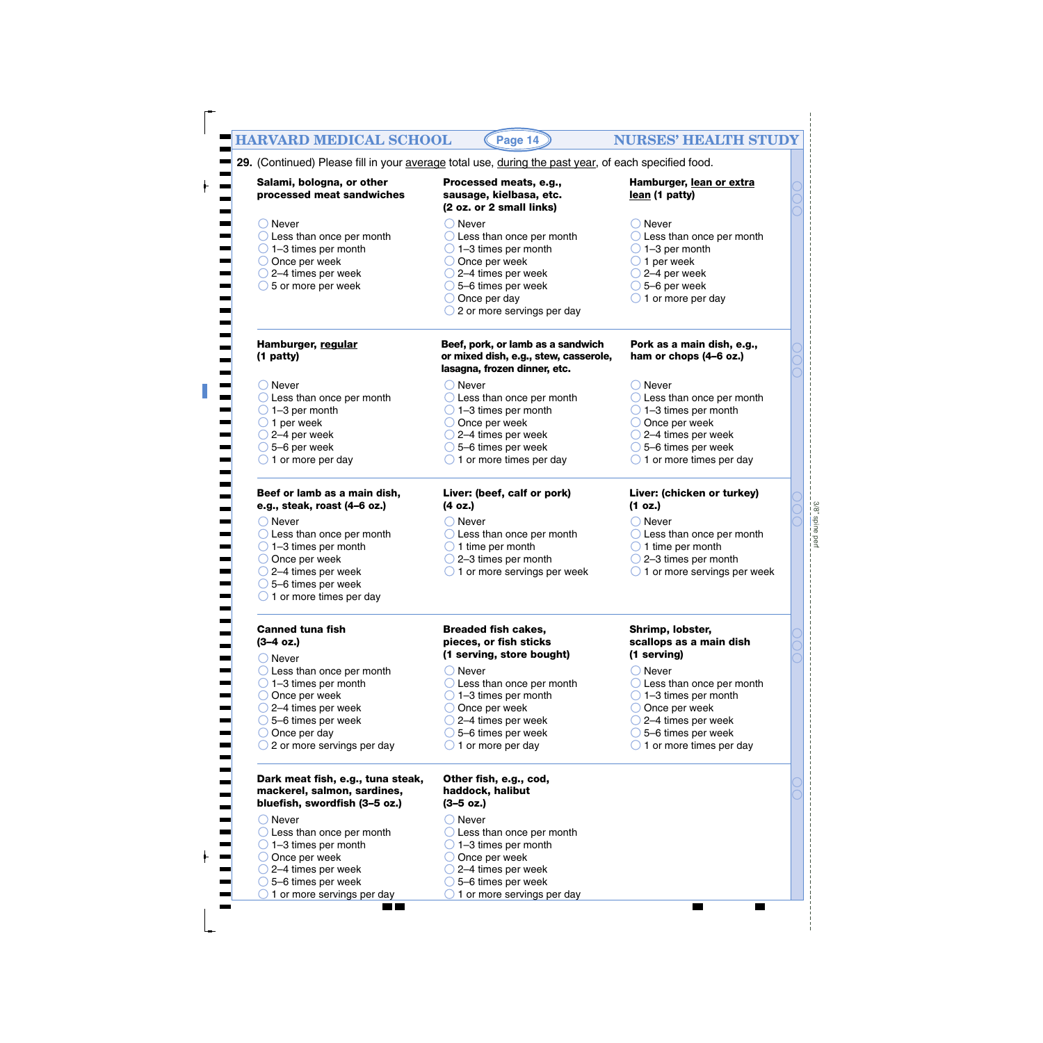| <b>HARVARD MEDICAL SCHOOL</b>                                                                                                                                                                                                | Page 14                                                                                                                                                                                                                                          | <b>NURSES' HEALTH STUDY</b>                                                                                                                                                                                                   |
|------------------------------------------------------------------------------------------------------------------------------------------------------------------------------------------------------------------------------|--------------------------------------------------------------------------------------------------------------------------------------------------------------------------------------------------------------------------------------------------|-------------------------------------------------------------------------------------------------------------------------------------------------------------------------------------------------------------------------------|
|                                                                                                                                                                                                                              |                                                                                                                                                                                                                                                  |                                                                                                                                                                                                                               |
|                                                                                                                                                                                                                              | 29. (Continued) Please fill in your average total use, during the past year, of each specified food.                                                                                                                                             |                                                                                                                                                                                                                               |
| Salami, bologna, or other<br>processed meat sandwiches                                                                                                                                                                       | Processed meats, e.g.,<br>sausage, kielbasa, etc.<br>(2 oz. or 2 small links)                                                                                                                                                                    | Hamburger, lean or extra<br>lean (1 patty)                                                                                                                                                                                    |
| $\bigcirc$ Never<br>$\bigcirc$ Less than once per month<br>$\bigcirc$ 1-3 times per month<br>$\bigcirc$ Once per week<br>$\bigcirc$ 2–4 times per week<br>$\bigcirc$ 5 or more per week                                      | Never<br>$\bigcirc$ Less than once per month<br>$\bigcirc$ 1–3 times per month<br>$\bigcirc$ Once per week<br>$\bigcirc$ 2–4 times per week<br>$\bigcirc$ 5-6 times per week<br>$\bigcirc$ Once per day<br>$\bigcirc$ 2 or more servings per day | $\bigcirc$ Never<br>$\bigcirc$ Less than once per month<br>$\bigcirc$ 1-3 per month<br>$\bigcirc$ 1 per week<br>$\bigcirc$ 2–4 per week<br>$\bigcirc$ 5–6 per week<br>$\bigcirc$ 1 or more per day                            |
| Hamburger, regular<br>(1 patty)                                                                                                                                                                                              | Beef, pork, or lamb as a sandwich<br>or mixed dish, e.g., stew, casserole,<br>lasagna, frozen dinner, etc.                                                                                                                                       | Pork as a main dish, e.g.,<br>ham or chops (4-6 oz.)                                                                                                                                                                          |
| $\bigcirc$ Never<br>$\bigcirc$ Less than once per month<br>$\bigcirc$ 1-3 per month<br>$\bigcirc$ 1 per week<br>$\bigcirc$ 2–4 per week<br>$\bigcirc$ 5-6 per week<br>$\bigcirc$ 1 or more per day                           | $\bigcirc$ Never<br>$\bigcirc$ Less than once per month<br>$\bigcirc$ 1–3 times per month<br>$\bigcirc$ Once per week<br>$\bigcirc$ 2–4 times per week<br>$\bigcirc$ 5-6 times per week<br>$\bigcirc$ 1 or more times per day                    | $\bigcirc$ Never<br>$\bigcirc$ Less than once per month<br>$\bigcirc$ 1-3 times per month<br>$\bigcirc$ Once per week<br>$\bigcirc$ 2–4 times per week<br>$\bigcirc$ 5-6 times per week<br>$\bigcirc$ 1 or more times per day |
| Beef or lamb as a main dish,<br>e.g., steak, roast (4-6 oz.)                                                                                                                                                                 | Liver: (beef, calf or pork)<br>(4 oz.)                                                                                                                                                                                                           | Liver: (chicken or turkey)<br>(1 oz.)                                                                                                                                                                                         |
| $\bigcirc$ Never<br>$\bigcirc$ Less than once per month<br>$\bigcirc$ 1-3 times per month<br>$\bigcirc$ Once per week<br>$\bigcirc$ 2–4 times per week<br>5-6 times per week<br>$\bigcirc$ 1 or more times per day           | $\bigcirc$ Never<br>$\bigcirc$ Less than once per month<br>$\bigcirc$ 1 time per month<br>$\bigcirc$ 2-3 times per month<br>$\bigcirc$ 1 or more servings per week                                                                               | $\bigcirc$ Never<br>$\bigcirc$ Less than once per month<br>$\bigcirc$ 1 time per month<br>$\bigcirc$ 2-3 times per month<br>$\bigcirc$ 1 or more servings per week                                                            |
| <b>Canned tuna fish</b><br>$(3-4 oz.)$<br>$\bigcirc$ Never                                                                                                                                                                   | <b>Breaded fish cakes,</b><br>pieces, or fish sticks<br>(1 serving, store bought)                                                                                                                                                                | Shrimp, lobster,<br>scallops as a main dish<br>(1 serving)                                                                                                                                                                    |
| $\bigcirc$ Less than once per month<br>$\bigcirc$ 1-3 times per month<br>$\bigcirc$ Once per week<br>$\bigcirc$ 2–4 times per week<br>$\bigcirc$ 5-6 times per week<br>$\bigcirc$ Once per day<br>2 or more servings per day | Never<br>$\bigcirc$ Less than once per month<br>$\bigcirc$ 1–3 times per month<br>$\bigcirc$ Once per week<br>$\bigcirc$ 2–4 times per week<br>$\bigcirc$ 5–6 times per week<br>$\bigcirc$ 1 or more per day                                     | $\bigcirc$ Never<br>$\bigcirc$ Less than once per month<br>$\bigcirc$ 1-3 times per month<br>$\bigcirc$ Once per week<br>$\bigcirc$ 2–4 times per week<br>$\bigcirc$ 5-6 times per week<br>$\bigcirc$ 1 or more times per day |
| Dark meat fish, e.g., tuna steak,<br>mackerel, salmon, sardines,<br>bluefish, swordfish (3-5 oz.)                                                                                                                            | Other fish, e.g., cod,<br>haddock, halibut<br>$(3-5 \text{ oz.})$                                                                                                                                                                                |                                                                                                                                                                                                                               |
| ○ Never<br>$\bigcirc$ Less than once per month<br>$\bigcirc$ 1–3 times per month<br>$\bigcirc$ Once per week<br>$\bigcirc$ 2–4 times per week<br>5-6 times per week<br>$\bigcirc$ 1 or more servings per day                 | $\bigcirc$ Never<br>$\bigcirc$ Less than once per month<br>$\bigcirc$ 1–3 times per month<br>Once per week<br>2-4 times per week<br>5-6 times per week<br>$\bigcirc$ 1 or more servings per day                                                  |                                                                                                                                                                                                                               |

3/8" spine perf 3/8" spine perf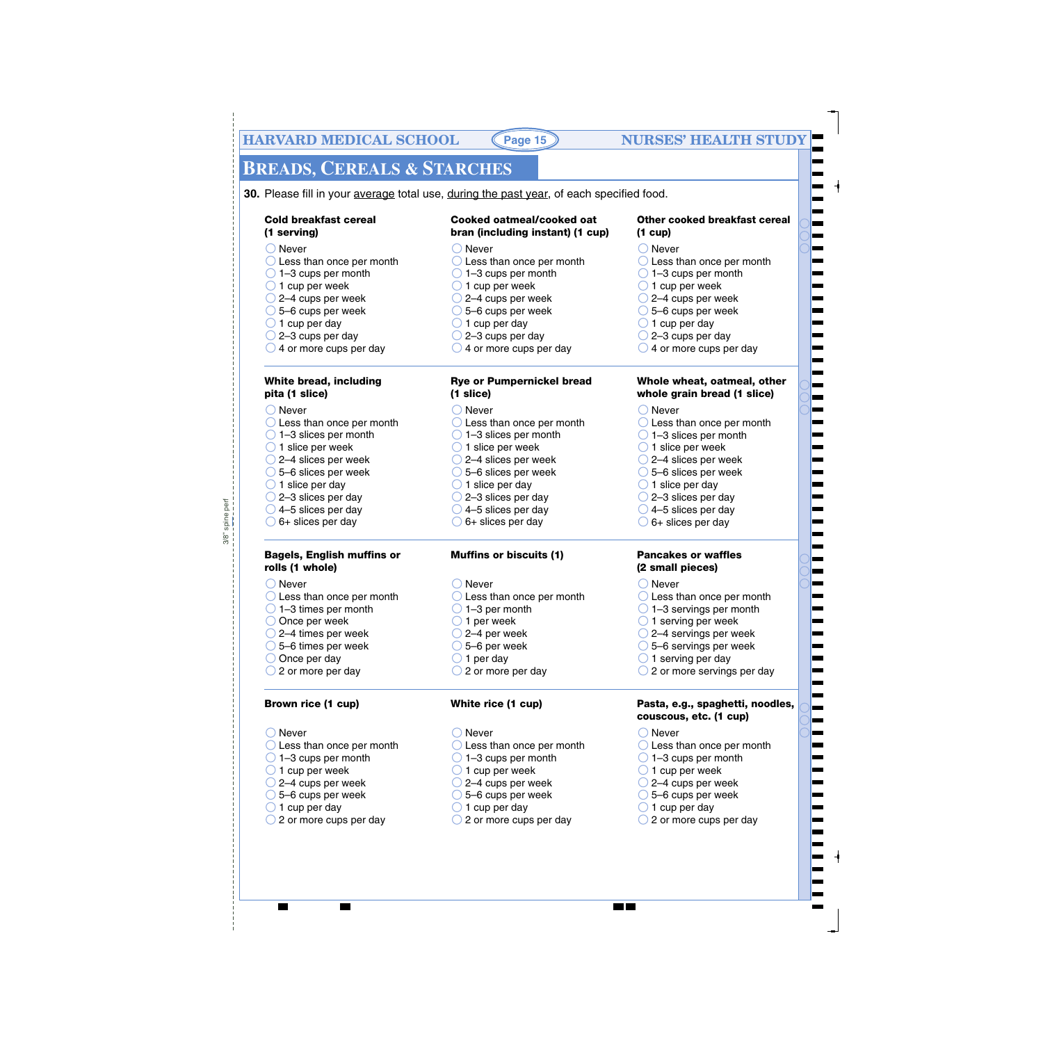# **BREADS, CEREALS & STARCHES**

**30.** Please fill in your average total use, during the past year, of each specified food.

#### **Cold breakfast cereal (1 serving)**

- ◯ Never
- O Less than once per month
- $\bigcirc$  1–3 cups per month
- $\bigcirc$  1 cup per week
- $\bigcirc$  2–4 cups per week
- $\bigcirc$  5–6 cups per week
- $\bigcirc$  1 cup per day
- $\bigcirc$  2–3 cups per day
- $\bigcirc$  4 or more cups per day

#### **White bread, including pita (1 slice)**

#### ◯ Never

- O Less than once per month 1–3 slices per month
- $\bigcirc$  1 slice per week
- 2–4 slices per week
- 5–6 slices per week
- $\bigcirc$  1 slice per day
- $\bigcirc$  2–3 slices per day
- 
- $\bigcirc$  4–5 slices per day  $\bigcirc$  6+ slices per day

#### **Bagels, English muffins or rolls (1 whole)**

#### ◯ Never

spine perf 3/8" spine perf

 $3/8$ "

- ◯ Less than once per month  $\bigcirc$  1–3 times per month
- O Once per week
- 2–4 times per week
- 5–6 times per week
- $\bigcirc$  Once per day
- $\bigcirc$  2 or more per day

#### **Brown rice (1 cup)**

#### ◯ Never

- O Less than once per month
- $\bigcirc$  1–3 cups per month
- $\bigcirc$  1 cup per week
- $\bigcirc$  2–4 cups per week
- 5–6 cups per week
- $\bigcirc$  1 cup per day
- ◯ 2 or more cups per day

#### **Cooked oatmeal/cooked oat bran (including instant) (1 cup)**

- ◯ Never
- O Less than once per month
- $\bigcirc$  1–3 cups per month
- $\bigcirc$  1 cup per week
- 2–4 cups per week
- 5–6 cups per week
- $\bigcirc$  1 cup per day
- $\bigcirc$  2–3 cups per day
- $\bigcirc$  4 or more cups per day

#### **Rye or Pumpernickel bread (1 slice)**

- ◯ Never
- O Less than once per month
- 1–3 slices per month
- $\bigcirc$  1 slice per week
- 2–4 slices per week
- 5–6 slices per week
- $\bigcirc$  1 slice per day
- 2–3 slices per day
- $\bigcirc$  4–5 slices per day
- $\bigcirc$  6+ slices per day

#### **Muffins or biscuits (1)**

- ◯ Never
- O Less than once per month
- $\bigcirc$  1–3 per month
- $\bigcirc$  1 per week
- $\bigcirc$  2–4 per week
- $\bigcirc$  5–6 per week
- $\bigcirc$  1 per day
- $\bigcirc$  2 or more per day

#### **White rice (1 cup)**

◯ Never

- C Less than once per month
- $\bigcirc$  1–3 cups per month
- $\bigcirc$  1 cup per week
- $\bigcirc$  2–4 cups per week
- 5–6 cups per week
- $\bigcirc$  1 cup per day
- ◯ 2 or more cups per day

#### **Other cooked breakfast cereal (1 cup)**

#### ◯ Never

- O Less than once per month
- $\bigcirc$  1–3 cups per month
- $\bigcirc$  1 cup per week
- 2–4 cups per week
- 5–6 cups per week
- $\bigcirc$  1 cup per day
- $\bigcirc$  2–3 cups per day
- $\bigcirc$  4 or more cups per day

#### **Whole wheat, oatmeal, other whole grain bread (1 slice)**

◯ Never

◯ Never

◯ Never

**The Co** 

◯ Less than once per month

◯ Less than once per month  $\bigcirc$  1–3 servings per month  $\bigcirc$  1 serving per week 2–4 servings per week 5–6 servings per week  $\bigcirc$  1 serving per day

 $\bigcirc$  2 or more servings per day

◯ Less than once per month  $\bigcirc$  1–3 cups per month  $\bigcirc$  1 cup per week 2–4 cups per week 5–6 cups per week  $\bigcirc$  1 cup per day

◯ 2 or more cups per day

**couscous, etc. (1 cup)**

**Pasta, e.g., spaghetti, noodles,**

- 1–3 slices per month
- $\bigcirc$  1 slice per week
- 2–4 slices per week
- 5–6 slices per week
- $\bigcirc$  1 slice per day
- 2–3 slices per day  $\bigcirc$  4–5 slices per day

 $\bigcirc$  6+ slices per day

**Pancakes or waffles (2 small pieces)**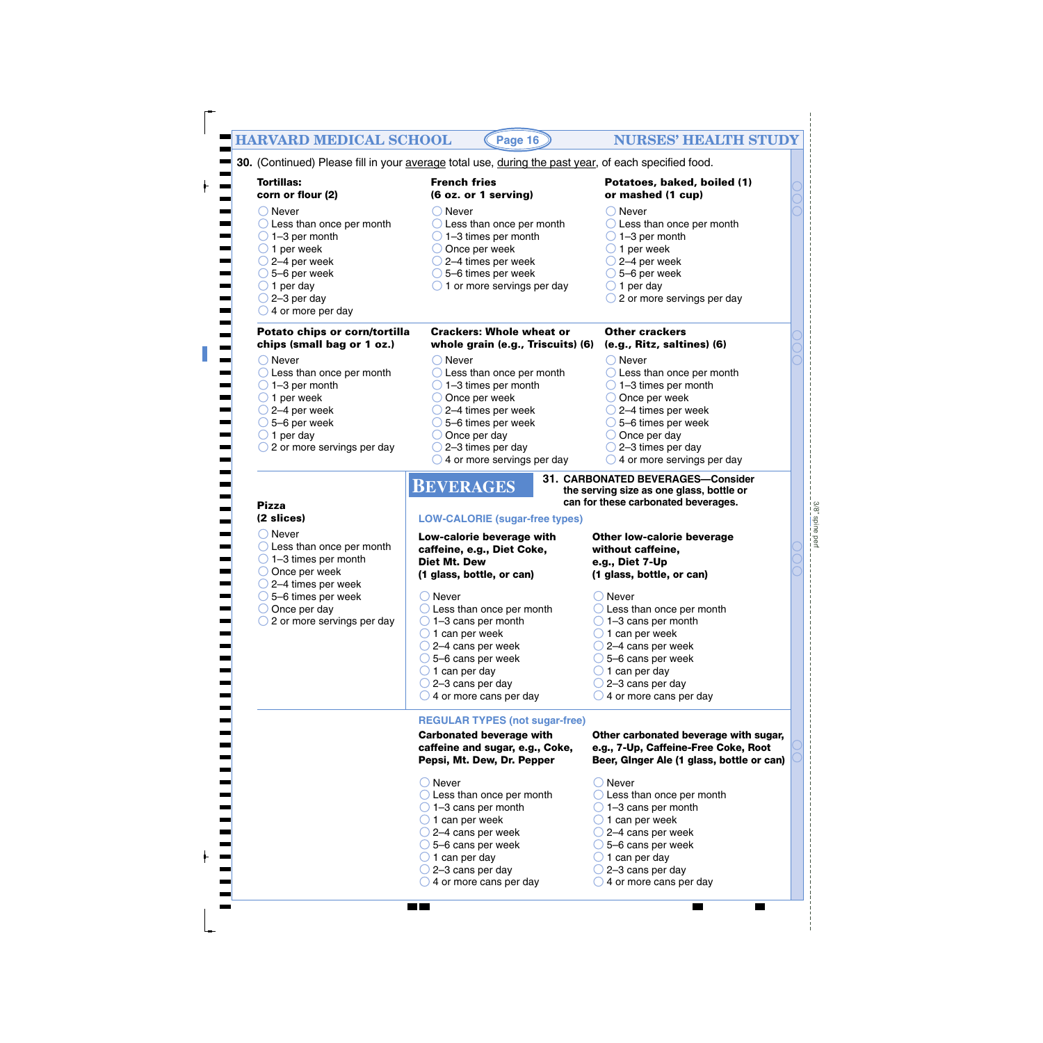| <b>HARVARD MEDICAL SCHOOL</b>                                                                                                                                                                                                       | Page 16                                                                                                                                                                                                                                                                                     | <b>NURSES' HEALTH STUDY</b>                                                                                                                                                                                                                                                                 |
|-------------------------------------------------------------------------------------------------------------------------------------------------------------------------------------------------------------------------------------|---------------------------------------------------------------------------------------------------------------------------------------------------------------------------------------------------------------------------------------------------------------------------------------------|---------------------------------------------------------------------------------------------------------------------------------------------------------------------------------------------------------------------------------------------------------------------------------------------|
|                                                                                                                                                                                                                                     | 30. (Continued) Please fill in your average total use, during the past year, of each specified food.                                                                                                                                                                                        |                                                                                                                                                                                                                                                                                             |
| <b>Tortillas:</b><br>corn or flour (2)                                                                                                                                                                                              | <b>French fries</b><br>(6 oz. or 1 serving)                                                                                                                                                                                                                                                 | Potatoes, baked, boiled (1)<br>or mashed (1 cup)                                                                                                                                                                                                                                            |
| $\bigcirc$ Never<br>$\bigcirc$ Less than once per month<br>$\bigcirc$ 1-3 per month<br>$\bigcirc$ 1 per week<br>$\bigcirc$ 2–4 per week<br>$\bigcirc$ 5–6 per week<br>$\bigcirc$ 1 per day<br>$\bigcirc$ 2-3 per day                | $\bigcirc$ Never<br>$\bigcirc$ Less than once per month<br>$\bigcirc$ 1-3 times per month<br>$\bigcirc$ Once per week<br>$\bigcirc$ 2–4 times per week<br>$\bigcirc$ 5–6 times per week<br>$\bigcirc$ 1 or more servings per day                                                            | $\bigcirc$ Never<br>$\bigcirc$ Less than once per month<br>$\bigcirc$ 1-3 per month<br>$\bigcirc$ 1 per week<br>$\bigcirc$ 2–4 per week<br>$\bigcirc$ 5–6 per week<br>$\bigcirc$ 1 per day<br>$\bigcirc$ 2 or more servings per day                                                         |
| $\bigcirc$ 4 or more per day                                                                                                                                                                                                        |                                                                                                                                                                                                                                                                                             |                                                                                                                                                                                                                                                                                             |
| Potato chips or corn/tortilla<br>chips (small bag or 1 oz.)                                                                                                                                                                         | <b>Crackers: Whole wheat or</b><br>whole grain (e.g., Triscuits) (6)                                                                                                                                                                                                                        | <b>Other crackers</b><br>(e.g., Ritz, saltines) (6)                                                                                                                                                                                                                                         |
| $\bigcirc$ Never<br>$\bigcirc$ Less than once per month<br>$\bigcirc$ 1-3 per month<br>$\bigcirc$ 1 per week<br>$\bigcirc$ 2–4 per week<br>$\bigcirc$ 5–6 per week<br>$\bigcirc$ 1 per day<br>$\bigcirc$ 2 or more servings per day | $\bigcirc$ Never<br>$\bigcirc$ Less than once per month<br>$\bigcirc$ 1-3 times per month<br>$\bigcirc$ Once per week<br>$\bigcirc$ 2–4 times per week<br>$\bigcirc$ 5–6 times per week<br>$\bigcirc$ Once per day<br>$\bigcirc$ 2–3 times per day<br>$\bigcirc$ 4 or more servings per day | $\bigcirc$ Never<br>$\bigcirc$ Less than once per month<br>$\bigcirc$ 1-3 times per month<br>$\bigcirc$ Once per week<br>$\bigcirc$ 2–4 times per week<br>$\bigcirc$ 5–6 times per week<br>$\bigcirc$ Once per day<br>$\bigcirc$ 2-3 times per day<br>$\bigcirc$ 4 or more servings per day |
| <b>Pizza</b>                                                                                                                                                                                                                        | <b>BEVERAGES</b>                                                                                                                                                                                                                                                                            | 31. CARBONATED BEVERAGES-Consider<br>the serving size as one glass, bottle or<br>can for these carbonated beverages.                                                                                                                                                                        |
| (2 slices)                                                                                                                                                                                                                          | <b>LOW-CALORIE (sugar-free types)</b>                                                                                                                                                                                                                                                       |                                                                                                                                                                                                                                                                                             |
| $\bigcirc$ Never<br>$\bigcirc$ Less than once per month<br>$\bigcirc$ 1-3 times per month<br>$\bigcirc$ Once per week                                                                                                               | Low-calorie beverage with<br>caffeine, e.g., Diet Coke,<br>Diet Mt. Dew<br>(1 glass, bottle, or can)                                                                                                                                                                                        | <b>Other low-calorie beverage</b><br>without caffeine,<br>e.g., Diet 7-Up<br>(1 glass, bottle, or can)                                                                                                                                                                                      |
| $\bigcirc$ 2–4 times per week<br>$\bigcirc$ 5–6 times per week<br>$\bigcirc$ Once per day<br>$\bigcirc$ 2 or more servings per day                                                                                                  | ◯ Never<br>$\bigcirc$ Less than once per month<br>$\bigcirc$ 1-3 cans per month<br>$\bigcirc$ 1 can per week<br>$\bigcirc$ 2–4 cans per week<br>$\bigcirc$ 5–6 cans per week<br>$\bigcirc$ 1 can per day<br>$\bigcirc$ 2–3 cans per day<br>$\bigcirc$ 4 or more cans per day                | ◯ Never<br>$\bigcirc$ Less than once per month<br>$\bigcirc$ 1-3 cans per month<br>$\bigcirc$ 1 can per week<br>$\bigcirc$ 2–4 cans per week<br>$\bigcirc$ 5–6 cans per week<br>$\bigcirc$ 1 can per day<br>$\bigcirc$ 2–3 cans per day<br>$\bigcirc$ 4 or more cans per day                |
|                                                                                                                                                                                                                                     | <b>REGULAR TYPES (not sugar-free)</b>                                                                                                                                                                                                                                                       |                                                                                                                                                                                                                                                                                             |
|                                                                                                                                                                                                                                     | <b>Carbonated beverage with</b><br>caffeine and sugar, e.g., Coke,<br>Pepsi, Mt. Dew, Dr. Pepper                                                                                                                                                                                            | Other carbonated beverage with sugar,<br>e.g., 7-Up, Caffeine-Free Coke, Root<br>Beer, Ginger Ale (1 glass, bottle or can)                                                                                                                                                                  |
|                                                                                                                                                                                                                                     | $\bigcirc$ Never<br>$\bigcirc$ Less than once per month<br>$\bigcirc$ 1-3 cans per month<br>$\bigcirc$ 1 can per week<br>$\bigcirc$ 2–4 cans per week<br>$\bigcirc$ 5–6 cans per week<br>$\bigcirc$ 1 can per day<br>$\bigcirc$ 2–3 cans per day                                            | $\bigcirc$ Never<br>$\bigcirc$ Less than once per month<br>$\bigcirc$ 1-3 cans per month<br>$\bigcirc$ 1 can per week<br>$\bigcirc$ 2–4 cans per week<br>$\bigcirc$ 5–6 cans per week<br>$\bigcirc$ 1 can per day<br>$\bigcirc$ 2–3 cans per day                                            |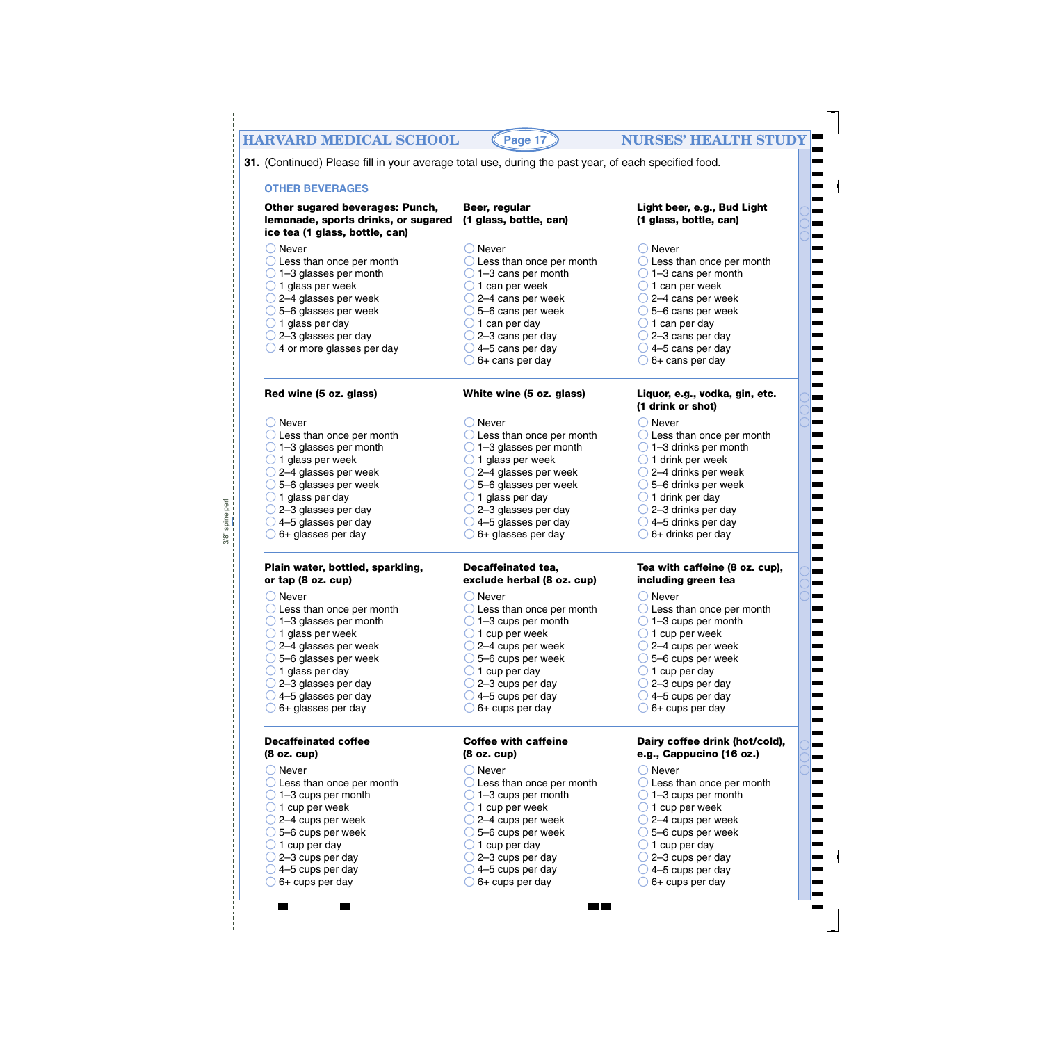# **HARVARD MEDICAL SCHOOL (Page 17) NURSES' HEALTH STUDY**

**31.** (Continued) Please fill in your average total use, during the past year, of each specified food.

 $3/8$ " spine perf 3/8" spine perf

| <b>OTHER BEVERAGES</b>                                                                                   |                                                  |                                                            |
|----------------------------------------------------------------------------------------------------------|--------------------------------------------------|------------------------------------------------------------|
| Other sugared beverages: Punch,<br>lemonade, sports drinks, or sugared<br>ice tea (1 glass, bottle, can) | Beer, regular<br>(1 glass, bottle, can)          | Light beer, e.g., Bud Light<br>(1 glass, bottle, can)      |
| $\bigcirc$ Never                                                                                         | $\bigcirc$ Never                                 | $\bigcirc$ Never                                           |
| $\bigcirc$ Less than once per month                                                                      | $\bigcirc$ Less than once per month              | $\bigcirc$ Less than once per month                        |
| $\bigcirc$ 1–3 glasses per month                                                                         | $\bigcirc$ 1-3 cans per month                    | $\bigcirc$ 1-3 cans per month                              |
| $\bigcirc$ 1 glass per week                                                                              | $\bigcirc$ 1 can per week                        | $\bigcirc$ 1 can per week                                  |
| $\bigcirc$ 2–4 glasses per week                                                                          | $\bigcirc$ 2–4 cans per week                     | $\bigcirc$ 2–4 cans per week                               |
| ◯ 5-6 glasses per week                                                                                   | $\bigcirc$ 5–6 cans per week                     | $\bigcirc$ 5–6 cans per week                               |
| $\bigcirc$ 1 glass per day                                                                               | $\bigcirc$ 1 can per day                         | $\bigcirc$ 1 can per day                                   |
| $\bigcirc$ 2-3 glasses per day                                                                           | $\bigcirc$ 2-3 cans per day                      | ○ 2-3 cans per day                                         |
| $\bigcirc$ 4 or more glasses per day                                                                     | $\bigcirc$ 4-5 cans per day                      | $\bigcirc$ 4–5 cans per day                                |
|                                                                                                          | 6+ cans per day                                  | $\bigcirc$ 6+ cans per day                                 |
| Red wine (5 oz. glass)                                                                                   | White wine (5 oz. glass)                         | Liquor, e.g., vodka, gin, etc.<br>(1 drink or shot)        |
| $\bigcirc$ Never                                                                                         | $\bigcirc$ Never                                 | $\bigcirc$ Never                                           |
| $\bigcirc$ Less than once per month                                                                      | $\bigcirc$ Less than once per month              | $\bigcirc$ Less than once per month                        |
| $\bigcirc$ 1–3 glasses per month                                                                         | $\bigcirc$ 1–3 glasses per month                 | $\bigcirc$ 1-3 drinks per month                            |
| $\bigcirc$ 1 glass per week                                                                              | $\bigcirc$ 1 glass per week                      | $\bigcirc$ 1 drink per week                                |
| $\bigcirc$ 2–4 glasses per week                                                                          | $\bigcirc$ 2–4 glasses per week                  | $\bigcirc$ 2–4 drinks per week                             |
| $\bigcirc$ 5–6 glasses per week                                                                          | $\bigcirc$ 5–6 glasses per week                  | $\bigcirc$ 5–6 drinks per week                             |
| $\bigcirc$ 1 glass per day                                                                               | $\bigcirc$ 1 glass per day                       | $\bigcirc$ 1 drink per day                                 |
| $\bigcirc$ 2-3 glasses per day                                                                           | $\bigcirc$ 2-3 glasses per day                   | $\bigcirc$ 2-3 drinks per day                              |
| $\bigcirc$ 4–5 glasses per day                                                                           | $\bigcirc$ 4-5 glasses per day                   | $\bigcirc$ 4–5 drinks per day                              |
| $\bigcirc$ 6+ glasses per day                                                                            | 6+ glasses per day                               | $\bigcirc$ 6+ drinks per day                               |
| Plain water, bottled, sparkling,<br>or tap (8 oz. cup)                                                   | Decaffeinated tea,<br>exclude herbal (8 oz. cup) | Tea with caffeine (8 oz. cup),<br>including green tea      |
| $\bigcirc$ Never                                                                                         | $\bigcirc$ Never                                 | $\bigcirc$ Never                                           |
| $\bigcirc$ Less than once per month                                                                      | $\bigcirc$ Less than once per month              | $\bigcirc$ Less than once per month                        |
| $\bigcirc$ 1–3 glasses per month                                                                         | $\bigcirc$ 1-3 cups per month                    | $\bigcirc$ 1-3 cups per month                              |
| $\bigcirc$ 1 glass per week                                                                              | $\bigcirc$ 1 cup per week                        | $\bigcirc$ 1 cup per week                                  |
| 2-4 glasses per week                                                                                     | 2-4 cups per week                                | 2-4 cups per week                                          |
| $\bigcirc$ 5–6 glasses per week                                                                          | $\bigcirc$ 5–6 cups per week                     | $\bigcirc$ 5–6 cups per week                               |
| $\bigcirc$ 1 glass per day                                                                               | $\bigcirc$ 1 cup per day                         | $\Box$ 1 cup per day                                       |
| $\bigcirc$ 2-3 glasses per day                                                                           | 2-3 cups per day                                 | 2-3 cups per day                                           |
| $\bigcirc$ 4–5 glasses per day                                                                           | $\bigcirc$ 4–5 cups per day                      | $\bigcup$ 4–5 cups per day                                 |
| 6+ glasses per day                                                                                       | 6+ cups per day                                  | $\bigcirc$ 6+ cups per day                                 |
| <b>Decaffeinated coffee</b><br>(8 oz. cup)                                                               | <b>Coffee with caffeine</b><br>(8 oz. cup)       | Dairy coffee drink (hot/cold),<br>e.g., Cappucino (16 oz.) |
| $\supset$ Never                                                                                          | $\bigcirc$ Never                                 | $\bigcirc$ Never                                           |
| $\bigcirc$ Less than once per month                                                                      | $\bigcirc$ Less than once per month              | $\bigcirc$ Less than once per month                        |
| $\bigcirc$ 1-3 cups per month                                                                            | $\bigcirc$ 1–3 cups per month                    | $\bigcirc$ 1–3 cups per month                              |
| $\bigcirc$ 1 cup per week                                                                                | $\bigcirc$ 1 cup per week                        | $\bigcup$ 1 cup per week                                   |
| $\bigcirc$ 2–4 cups per week                                                                             | $\bigcirc$ 2–4 cups per week                     | $\bigcirc$ 2–4 cups per week                               |
| $\bigcirc$ 5–6 cups per week                                                                             | $\bigcirc$ 5–6 cups per week                     | $\bigcirc$ 5–6 cups per week                               |
| $\bigcup$ 1 cup per day                                                                                  | $\bigcirc$ 1 cup per day                         | $\bigcup$ 1 cup per day                                    |
| $\overline{2}$ 2–3 cups per day                                                                          | $\bigcirc$ 2–3 cups per day                      | $\overline{2}$ 2-3 cups per day                            |
| 4-5 cups per day                                                                                         | $\bigcirc$ 4-5 cups per day                      | $\bigcup$ 4-5 cups per day                                 |
| 6+ cups per day                                                                                          | 6+ cups per day                                  | $\bigcirc$ 6+ cups per day                                 |

**MA** 

 $\blacksquare$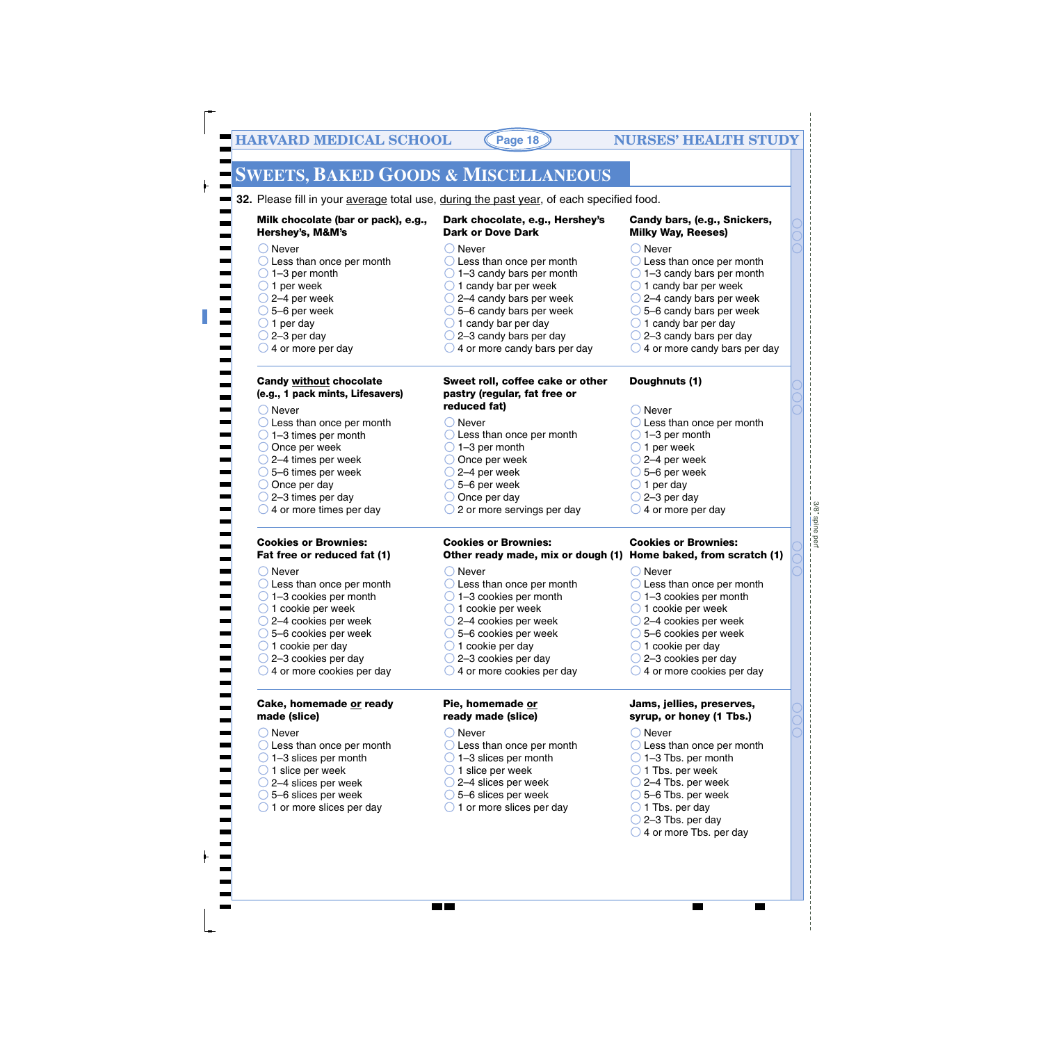# **SWEETS, BAKED GOODS & MISCELLANEOUS**

**32.** Please fill in your average total use, during the past year, of each specified food.

◯ Never

**Milk chocolate (bar or pack), e.g., Hershey's, M&M's**

◯ Less than once per month

#### **Dark chocolate, e.g., Hershey's Dark or Dove Dark**

- 
- ◯ Less than once per month
- $\bigcirc$  1–3 candy bars per month
- $\bigcirc$  1 candy bar per week
- $\bigcirc$  2–4 candy bars per week
- $\bigcirc$  5–6 candy bars per week
- $\bigcirc$  1 candy bar per day
- $\bigcirc$  2–3 candy bars per day
- $\bigcirc$  4 or more candy bars per day

#### **Sweet roll, coffee cake or other pastry (regular, fat free or reduced fat)**

#### **Candy bars, (e.g., Snickers, Milky Way, Reeses)**

- ◯ Never
- $\bigcirc$  Less than once per month
- $\bigcirc$  1–3 candy bars per month
- $\bigcirc$  1 candy bar per week
- 2–4 candy bars per week
- $\bigcirc$  5–6 candy bars per week
- $\bigcirc$  1 candy bar per day

**Doughnuts (1)**

- $\bigcirc$  2–3 candy bars per day
- $\bigcirc$  4 or more candy bars per day

**Candy without chocolate (e.g., 1 pack mints, Lifesavers)**

◯ Never

 $\bigcirc$  1–3 per month  $\bigcirc$  1 per week  $\bigcirc$  2–4 per week 5–6 per week  $\bigcirc$  1 per day  $\bigcirc$  2–3 per day  $\bigcirc$  4 or more per day

 $\bigcirc$  Never ◯ Less than once per month  $\bigcirc$  1–3 times per month O Once per week 2–4 times per week 5–6 times per week  $\bigcirc$  Once per day  $\bigcirc$  2–3 times per day  $\bigcirc$  4 or more times per day  $\bigcirc$  Never ◯ Less than once per month  $\bigcirc$  1–3 per month O Once per week  $\bigcirc$  2–4 per week  $\bigcirc$  5–6 per week  $\bigcirc$  Once per day  $\bigcirc$  2 or more servings per day ◯ Never  $\bigcirc$  Less than once per month  $\bigcirc$  1–3 per month  $\bigcirc$  1 per week  $\bigcirc$  2–4 per week  $\bigcirc$  5–6 per week  $\bigcirc$  1 per day  $\bigcirc$  2–3 per day  $\bigcirc$  4 or more per day

#### **Cookies or Brownies: Fat free or reduced fat (1)**

◯ Never ◯ Less than once per month  $\bigcirc$  1–3 cookies per month  $\bigcirc$  1 cookie per week 2–4 cookies per week 5–6 cookies per week  $\bigcirc$  1 cookie per day  $\bigcirc$  2–3 cookies per day  $\bigcirc$  4 or more cookies per day ◯ Never C Less than once per month  $\bigcirc$  1–3 cookies per month  $\bigcirc$  1 cookie per week ◯ 2–4 cookies per week 5–6 cookies per week  $\bigcirc$  1 cookie per day 2–3 cookies per day  $\bigcirc$  4 or more cookies per day ◯ Never ◯ Less than once per month  $\bigcirc$  1–3 cookies per month  $\bigcirc$  1 cookie per week 2–4 cookies per week 5–6 cookies per week  $\bigcirc$  1 cookie per day  $\bigcirc$  2–3 cookies per day  $\bigcirc$  4 or more cookies per day

**Cookies or Brownies:** 

#### **Cake, homemade or ready made (slice)**

- ◯ Never
- ◯ Less than once per month
- $\bigcirc$  1–3 slices per month
- $\bigcirc$  1 slice per week
- 2–4 slices per week
- 5–6 slices per week
- $\bigcirc$  1 or more slices per day
- **Pie, homemade or ready made (slice)**
- ◯ Never

**MA** 

- ◯ Less than once per month
- $\bigcirc$  1–3 slices per month
- $\bigcirc$  1 slice per week
- $\bigcirc$  2–4 slices per week
- 5–6 slices per week
- $\bigcirc$  1 or more slices per day
- **Other ready made, mix or dough (1) Home baked, from scratch (1) Cookies or Brownies: Jams, jellies, preserves, syrup, or honey (1 Tbs.)** ◯ Less than once per month 1–3 Tbs. per month  $\bigcirc$  1 Tbs. per week 2–4 Tbs. per week 5–6 Tbs. per week  $\bigcirc$  1 Tbs. per day  $\bigcirc$  2–3 Tbs. per day
	- $\bigcirc$  4 or more Tbs. per day

◯ Never

3/8" spine per 3/8" spine perf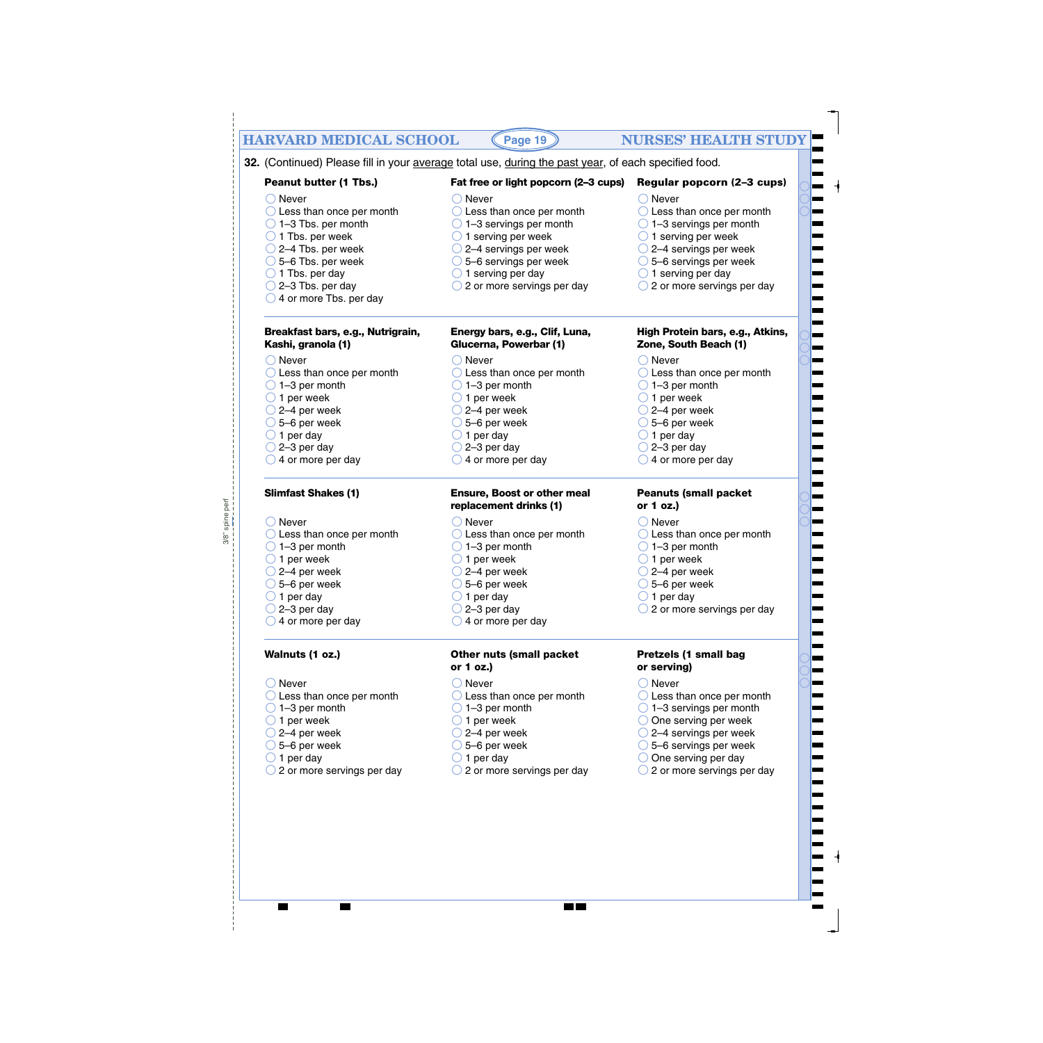#### **HARVARD MEDICAL SCHOOL (Page 19) NURSES' HEALTH STUDY Peanut butter (1 Tbs.)** ◯ Never C Less than once per month  $\bigcirc$  1–3 servings per month  $\bigcirc$  1 serving per week 2–4 servings per week 5–6 servings per week  $\bigcirc$  1 serving per day  $\bigcirc$  2 or more servings per day **Fat free or light popcorn (2–3 cups)**  $\bigcirc$  Never ◯ Less than once per month  $\bigcirc$  1–3 Tbs. per month  $\bigcirc$  1 Tbs. per week 2–4 Tbs. per week 5–6 Tbs. per week  $\bigcirc$  1 Tbs. per day  $\bigcirc$  2–3 Tbs. per day  $\bigcirc$  4 or more Tbs. per day **Peanuts (small packet or 1 oz.)** ◯ Never **32.** (Continued) Please fill in your average total use, during the past year, of each specified food. **Regular popcorn (2–3 cups)** ◯ Never O Less than once per month  $\bigcirc$  1–3 servings per month  $\bigcirc$  1 serving per week 2–4 servings per week 5–6 servings per week  $\bigcirc$  1 serving per day  $\bigcirc$  2 or more servings per day **Page 19** ◯ Never ◯ Less than once per month  $\bigcirc$  1–3 per month  $\bigcirc$  1 per week  $\bigcirc$  2–4 per week  $\bigcirc$  5–6 per week  $\bigcirc$  1 per day  $\bigcirc$  2–3 per day  $\bigcirc$  4 or more per day ◯ Never ◯ Less than once per month  $\bigcirc$  1–3 per month  $\bigcirc$  1 per week  $\bigcirc$  2–4 per week  $\bigcirc$  5–6 per week  $\bigcirc$  1 per day  $\bigcirc$  2–3 per day  $\bigcirc$  4 or more per day ◯ Never ◯ Less than once per month  $\bigcirc$  1–3 per month  $\bigcirc$  1 per week  $\bigcirc$  2–4 per week 5–6 per week  $\bigcirc$  1 per day  $\bigcirc$  2–3 per day  $\bigcirc$  4 or more per day ◯ Never  $\bigcirc$  Never **Breakfast bars, e.g., Nutrigrain, Kashi, granola (1) Energy bars, e.g., Clif, Luna, Glucerna, Powerbar (1) High Protein bars, e.g., Atkins, Zone, South Beach (1) Slimfast Shakes (1) Ensure, Boost or other meal replacement drinks (1)**

◯ Less than once per month  $\bigcirc$  1–3 per month  $\bigcirc$  1 per week  $\bigcirc$  2–4 per week 5–6 per week  $\bigcirc$  1 per day  $\bigcirc$  2–3 per day  $\bigcirc$  4 or more per day

#### **Walnuts (1 oz.)**

◯ Never

spine perf 3/8" spine perf

 $3/8$ "

- ◯ Less than once per month
- $\bigcirc$  1–3 per month
- $\bigcirc$  1 per week
- $\bigcirc$  2–4 per week
- $\bigcirc$  5–6 per week
- $\bigcirc$  1 per day
- ◯ 2 or more servings per day
- ◯ Less than once per month  $\bigcirc$  1–3 per month
- $\bigcirc$  1 per week
- $\bigcirc$  2–4 per week
- 5–6 per week
- $\bigcirc$  1 per day
- $\bigcirc$  2–3 per day
- $\bigcirc$  4 or more per day

#### **Other nuts (small packet or 1 oz.)**

- ◯ Never
- O Less than once per month
- $\bigcirc$  1–3 per month
- $\bigcirc$  1 per week
- $\bigcirc$  2–4 per week
- $\bigcirc$  5–6 per week
- $\bigcirc$  1 per day
- ◯ 2 or more servings per day

**The Co** 

- **Pretzels (1 small bag or serving)**
- ◯ Never
- ◯ Less than once per month

◯ Less than once per month

 $\bigcirc$  2 or more servings per day

 $\bigcirc$  1–3 per month  $\bigcirc$  1 per week  $\bigcirc$  2–4 per week 5–6 per week  $\bigcirc$  1 per day

- $\bigcirc$  1–3 servings per month
- O One serving per week
- 2–4 servings per week
- 5–6 servings per week
- $\bigcirc$  One serving per day
- ◯ 2 or more servings per day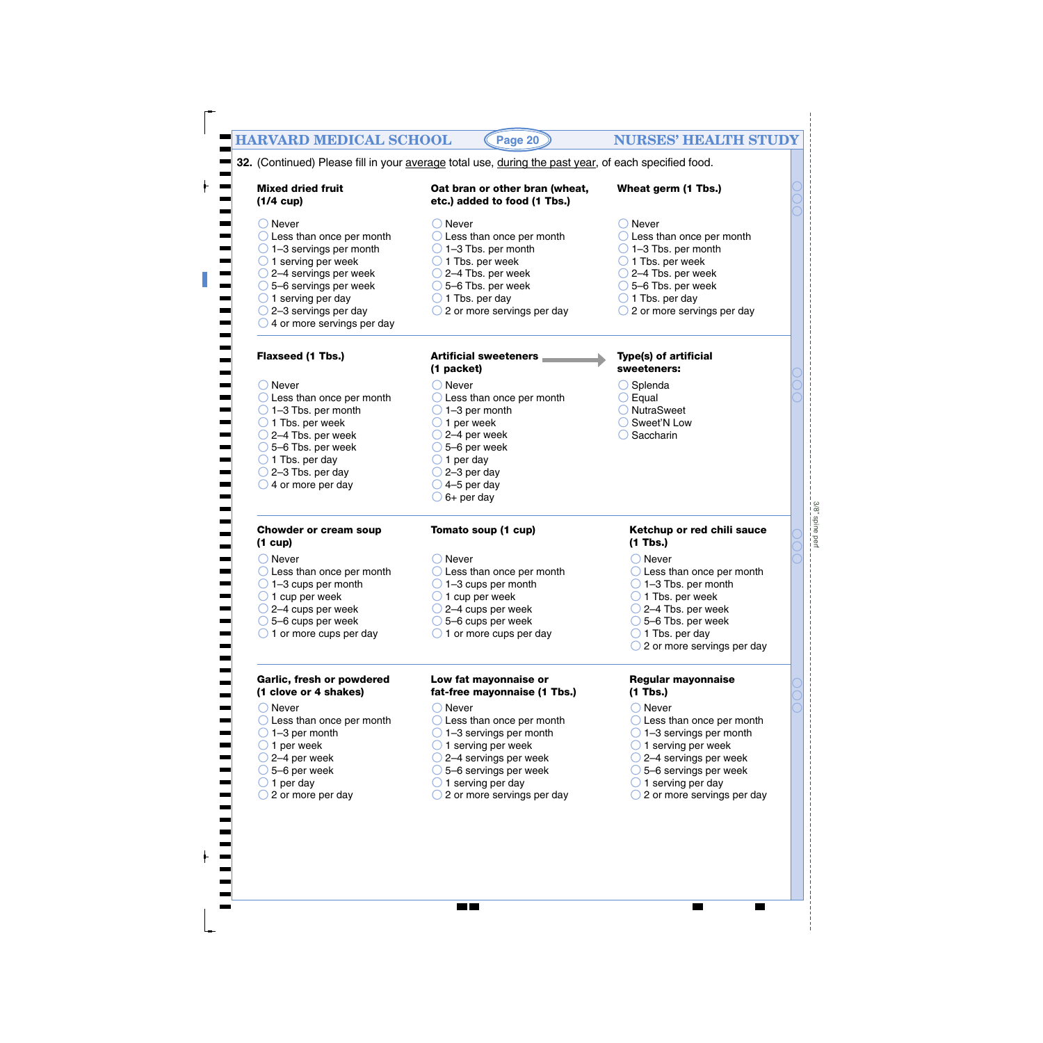| <b>Mixed dried fruit</b><br>$(1/4 \text{ cup})$                                                                                                                                                                                                                                                                   | Oat bran or other bran (wheat,<br>etc.) added to food (1 Tbs.)                                                                                                                                                                                                          | Wheat germ (1 Tbs.)                                                                                                                                                                                                                                                            |
|-------------------------------------------------------------------------------------------------------------------------------------------------------------------------------------------------------------------------------------------------------------------------------------------------------------------|-------------------------------------------------------------------------------------------------------------------------------------------------------------------------------------------------------------------------------------------------------------------------|--------------------------------------------------------------------------------------------------------------------------------------------------------------------------------------------------------------------------------------------------------------------------------|
| $\bigcirc$ Never<br>$\bigcirc$ Less than once per month<br>$\bigcirc$ 1-3 servings per month<br>$\bigcirc$ 1 serving per week<br>$\bigcirc$ 2–4 servings per week<br>$\bigcirc$ 5–6 servings per week<br>$\bigcirc$ 1 serving per day<br>$\bigcirc$ 2-3 servings per day<br>$\bigcirc$ 4 or more servings per day | $\bigcirc$ Never<br>$\bigcirc$ Less than once per month<br>$\bigcirc$ 1-3 Tbs. per month<br>$\bigcirc$ 1 Tbs. per week<br>$\bigcirc$ 2–4 Tbs. per week<br>$\bigcirc$ 5–6 Tbs. per week<br>$\bigcirc$ 1 Tbs. per day<br>$\bigcirc$ 2 or more servings per day            | $\bigcirc$ Never<br>$\bigcirc$ Less than once per month<br>$\bigcirc$ 1-3 Tbs. per month<br>$\bigcirc$ 1 Tbs. per week<br>$\bigcirc$ 2–4 Tbs. per week<br>$\bigcirc$ 5-6 Tbs. per week<br>$\bigcirc$ 1 Tbs. per day<br>$\bigcirc$ 2 or more servings per day                   |
| Flaxseed (1 Tbs.)                                                                                                                                                                                                                                                                                                 | <b>Artificial sweeteners</b><br>(1 packet)                                                                                                                                                                                                                              | <b>Type(s) of artificial</b><br>sweeteners:                                                                                                                                                                                                                                    |
| $\bigcirc$ Never<br>$\bigcirc$ Less than once per month<br>$\bigcirc$ 1-3 Tbs. per month<br>$\bigcirc$ 1 Tbs. per week<br>$\bigcirc$ 2–4 Tbs. per week<br>$\bigcirc$ 5–6 Tbs. per week<br>$\bigcirc$ 1 Tbs. per day<br>$\bigcirc$ 2-3 Tbs. per day<br>$\bigcirc$ 4 or more per day                                | $\bigcirc$ Never<br>$\bigcirc$ Less than once per month<br>$\bigcirc$ 1-3 per month<br>$\bigcirc$ 1 per week<br>$\bigcirc$ 2–4 per week<br>$\bigcirc$ 5–6 per week<br>$\bigcirc$ 1 per day<br>$\bigcirc$ 2-3 per day<br>$\bigcirc$ 4-5 per day<br>$\bigcirc$ 6+ per day | $\bigcirc$ Splenda<br>$\bigcirc$ Equal<br>O NutraSweet<br>◯ Sweet'N Low<br>Saccharin                                                                                                                                                                                           |
| <b>Chowder or cream soup</b><br>$(1 \text{ cup})$                                                                                                                                                                                                                                                                 | Tomato soup (1 cup)                                                                                                                                                                                                                                                     | Ketchup or red chili sauce<br>$(1$ Tbs.)                                                                                                                                                                                                                                       |
| $\bigcirc$ Never<br>$\bigcirc$ Less than once per month<br>$\bigcirc$ 1-3 cups per month<br>$\bigcirc$ 1 cup per week<br>$\bigcirc$ 2–4 cups per week<br>$\bigcirc$ 5–6 cups per week<br>$\bigcirc$ 1 or more cups per day                                                                                        | Never<br>$\bigcirc$ Less than once per month<br>$\bigcirc$ 1-3 cups per month<br>1 cup per week<br>$\bigcirc$ 2–4 cups per week<br>$\bigcirc$ 5–6 cups per week<br>$\bigcirc$ 1 or more cups per day                                                                    | $\bigcirc$ Never<br>$\bigcirc$ Less than once per month<br>$\bigcirc$ 1-3 Tbs. per month<br>1 Tbs. per week<br>$\bigcirc$ 2–4 Tbs. per week<br>$\bigcirc$ 5–6 Tbs. per week<br>$\bigcirc$ 1 Tbs. per day<br>$\bigcirc$ 2 or more servings per day                              |
| Garlic, fresh or powdered<br>(1 clove or 4 shakes)                                                                                                                                                                                                                                                                | Low fat mayonnaise or<br>fat-free mayonnaise (1 Tbs.)                                                                                                                                                                                                                   | <b>Regular mayonnaise</b><br>$(1$ Tbs.)                                                                                                                                                                                                                                        |
| $\bigcirc$ Never<br>$\bigcirc$ Less than once per month<br>$\bigcirc$ 1-3 per month<br>$\bigcirc$ 1 per week<br>$\bigcirc$ 2–4 per week<br>$\bigcirc$ 5–6 per week<br>$\bigcirc$ 1 per day<br>$\bigcirc$ 2 or more per day                                                                                        | Never<br>$\bigcirc$ Less than once per month<br>$\bigcirc$ 1–3 servings per month<br>$\bigcirc$ 1 serving per week<br>$\bigcirc$ 2–4 servings per week<br>$\bigcirc$ 5–6 servings per week<br>$\bigcirc$ 1 serving per day<br>$\bigcirc$ 2 or more servings per day     | $\bigcirc$ Never<br>$\bigcirc$ Less than once per month<br>$\bigcirc$ 1–3 servings per month<br>$\bigcirc$ 1 serving per week<br>$\bigcirc$ 2–4 servings per week<br>$\bigcirc$ 5–6 servings per week<br>$\bigcirc$ 1 serving per day<br>$\bigcirc$ 2 or more servings per day |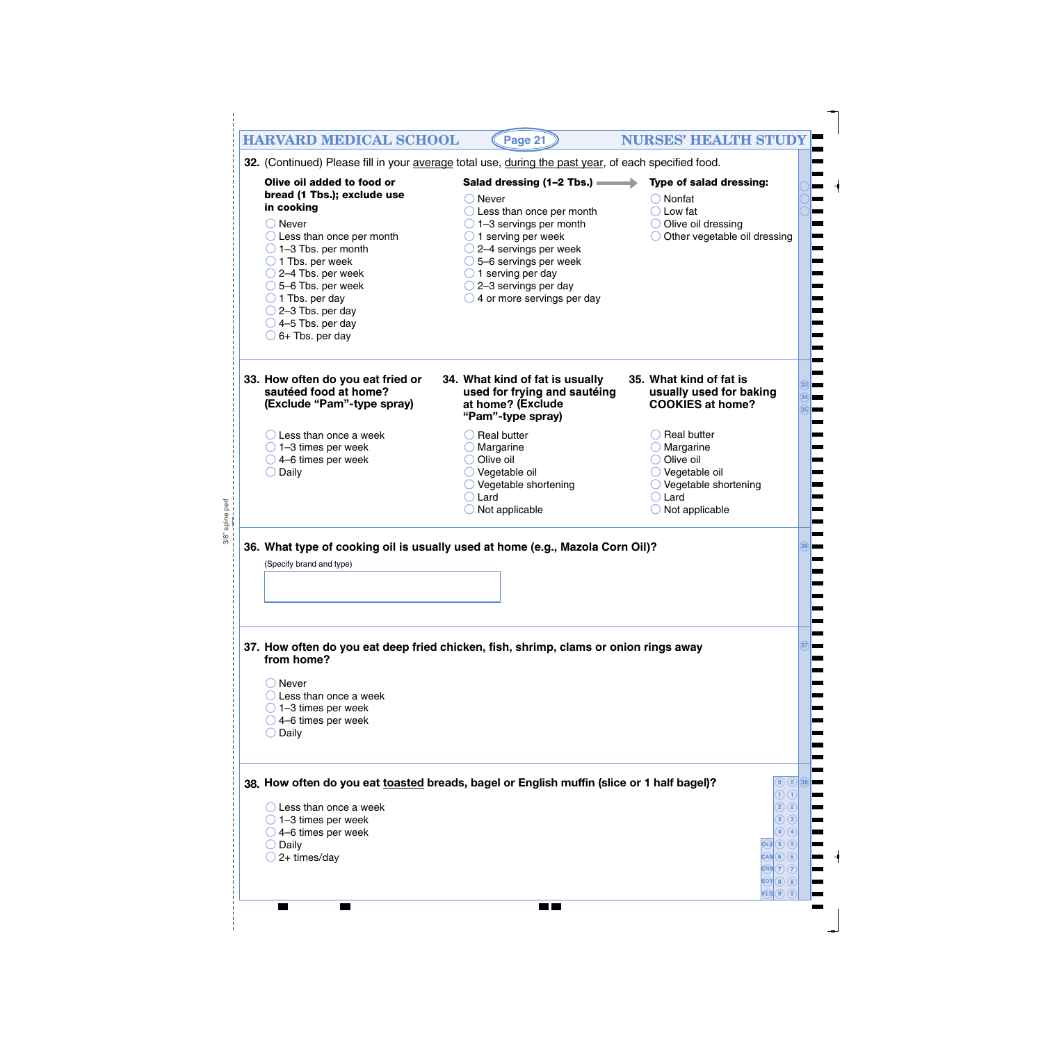|                                                                                                                                                                                                                                                                                                                                                                                            | 32. (Continued) Please fill in your average total use, during the past year, of each specified food.                                                                                                                                                                                                                                                               |                                                                                                                                                                                            |
|--------------------------------------------------------------------------------------------------------------------------------------------------------------------------------------------------------------------------------------------------------------------------------------------------------------------------------------------------------------------------------------------|--------------------------------------------------------------------------------------------------------------------------------------------------------------------------------------------------------------------------------------------------------------------------------------------------------------------------------------------------------------------|--------------------------------------------------------------------------------------------------------------------------------------------------------------------------------------------|
| Olive oil added to food or<br>bread (1 Tbs.); exclude use<br>in cooking<br>$\bigcirc$ Never<br>$\bigcirc$ Less than once per month<br>$\bigcirc$ 1-3 Tbs. per month<br>$\bigcirc$ 1 Tbs. per week<br>$\bigcirc$ 2–4 Tbs. per week<br>$\bigcirc$ 5–6 Tbs. per week<br>$\bigcirc$ 1 Tbs. per day<br>$\bigcirc$ 2-3 Tbs. per day<br>$\bigcirc$ 4-5 Tbs. per day<br>$\bigcirc$ 6+ Tbs. per day | Salad dressing $(1-2$ Tbs.) $\longrightarrow$<br>$\bigcirc$ Never<br>$\bigcirc$ Less than once per month<br>$\bigcirc$ 1–3 servings per month<br>$\bigcirc$ 1 serving per week<br>$\bigcirc$ 2–4 servings per week<br>$\bigcirc$ 5–6 servings per week<br>$\bigcirc$ 1 serving per day<br>$\bigcirc$ 2-3 servings per day<br>$\bigcirc$ 4 or more servings per day | <b>Type of salad dressing:</b><br>Nonfat<br>Low fat<br>Olive oil dressing<br>Other vegetable oil dressing                                                                                  |
| 33. How often do you eat fried or<br>sautéed food at home?<br>(Exclude "Pam"-type spray)                                                                                                                                                                                                                                                                                                   | 34. What kind of fat is usually<br>used for frying and sautéing<br>at home? (Exclude<br>"Pam"-type spray)                                                                                                                                                                                                                                                          | 35. What kind of fat is<br>usually used for baking<br><b>COOKIES at home?</b>                                                                                                              |
| $\bigcirc$ Less than once a week<br>$\bigcirc$ 1-3 times per week<br>$\bigcirc$ 4–6 times per week<br>$\bigcirc$ Daily                                                                                                                                                                                                                                                                     | $\bigcirc$ Real butter<br>Margarine<br>Olive oil<br>$\bigcirc$ Vegetable oil<br>Vegetable shortening<br>$\bigcirc$ Lard<br>$\bigcirc$ Not applicable                                                                                                                                                                                                               | <b>Real butter</b><br>Margarine<br>Olive oil<br>Vegetable oil<br>Vegetable shortening<br>Lard<br>Not applicable                                                                            |
| (Specify brand and type)                                                                                                                                                                                                                                                                                                                                                                   | 36. What type of cooking oil is usually used at home (e.g., Mazola Corn Oil)?                                                                                                                                                                                                                                                                                      |                                                                                                                                                                                            |
| from home?<br>$\bigcirc$ Never<br>$\bigcirc$ Less than once a week<br>$\bigcirc$ 1-3 times per week                                                                                                                                                                                                                                                                                        | 37. How often do you eat deep fried chicken, fish, shrimp, clams or onion rings away                                                                                                                                                                                                                                                                               |                                                                                                                                                                                            |
| $\bigcirc$ 4–6 times per week<br>$\bigcirc$ Daily<br>$\bigcirc$ Less than once a week<br>$\bigcirc$ 1–3 times per week<br>$\bigcirc$ 4–6 times per week<br>Daily<br>2+ times/day                                                                                                                                                                                                           | 38. How often do you eat toasted breads, bagel or English muffin (slice or 1 half bagel)?                                                                                                                                                                                                                                                                          | (0)(0)(38)<br>D O<br>$\Omega$ $(2)$<br>$\left( 3\right)$ $\left( 3\right)$<br>$\left(4\right)$ $\left(4\right)$<br>$\widehat{Q}$ LV $\widehat{B}$ $\widehat{B}$ $\widehat{B}$<br>CAN(6)(6) |

 $\overline{\phantom{a}}$ 

 $\overline{\phantom{a}}$ 

 $\overline{\phantom{1}}$